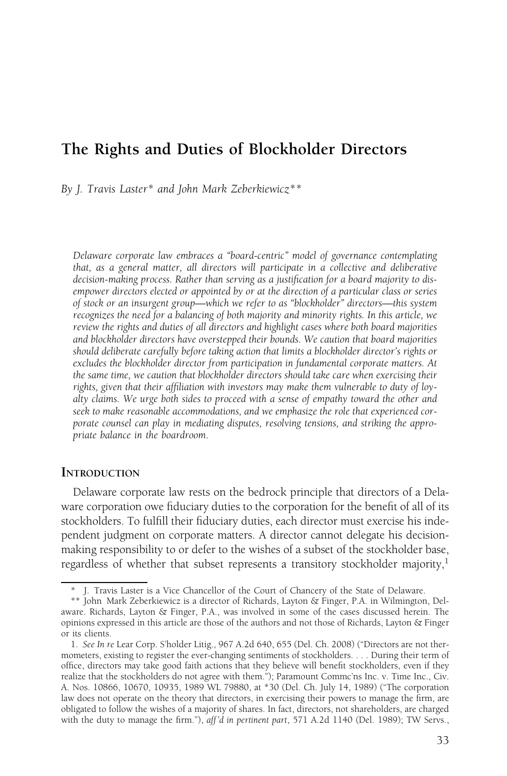# The Rights and Duties of Blockholder Directors

By J. Travis Laster\* and John Mark Zeberkiewicz\*\*

Delaware corporate law embraces a "board-centric" model of governance contemplating that, as a general matter, all directors will participate in a collective and deliberative decision-making process. Rather than serving as a justification for a board majority to disempower directors elected or appointed by or at the direction of a particular class or series of stock or an insurgent group—which we refer to as "blockholder" directors—this system recognizes the need for a balancing of both majority and minority rights. In this article, we review the rights and duties of all directors and highlight cases where both board majorities and blockholder directors have overstepped their bounds. We caution that board majorities should deliberate carefully before taking action that limits a blockholder director's rights or excludes the blockholder director from participation in fundamental corporate matters. At the same time, we caution that blockholder directors should take care when exercising their rights, given that their affiliation with investors may make them vulnerable to duty of loyalty claims. We urge both sides to proceed with a sense of empathy toward the other and seek to make reasonable accommodations, and we emphasize the role that experienced corporate counsel can play in mediating disputes, resolving tensions, and striking the appropriate balance in the boardroom.

#### **INTRODUCTION**

Delaware corporate law rests on the bedrock principle that directors of a Delaware corporation owe fiduciary duties to the corporation for the benefit of all of its stockholders. To fulfill their fiduciary duties, each director must exercise his independent judgment on corporate matters. A director cannot delegate his decisionmaking responsibility to or defer to the wishes of a subset of the stockholder base, regardless of whether that subset represents a transitory stockholder majority,<sup>1</sup>

J. Travis Laster is a Vice Chancellor of the Court of Chancery of the State of Delaware.

<sup>\*\*</sup> John Mark Zeberkiewicz is a director of Richards, Layton & Finger, P.A. in Wilmington, Delaware. Richards, Layton & Finger, P.A., was involved in some of the cases discussed herein. The opinions expressed in this article are those of the authors and not those of Richards, Layton & Finger or its clients.

<sup>1.</sup> See In re Lear Corp. S'holder Litig., 967 A.2d 640, 655 (Del. Ch. 2008) ("Directors are not thermometers, existing to register the ever-changing sentiments of stockholders. . . . During their term of office, directors may take good faith actions that they believe will benefit stockholders, even if they realize that the stockholders do not agree with them."); Paramount Commc'ns Inc. v. Time Inc., Civ. A. Nos. 10866, 10670, 10935, 1989 WL 79880, at \*30 (Del. Ch. July 14, 1989) ("The corporation law does not operate on the theory that directors, in exercising their powers to manage the firm, are obligated to follow the wishes of a majority of shares. In fact, directors, not shareholders, are charged with the duty to manage the firm."), aff'd in pertinent part, 571 A.2d 1140 (Del. 1989); TW Servs.,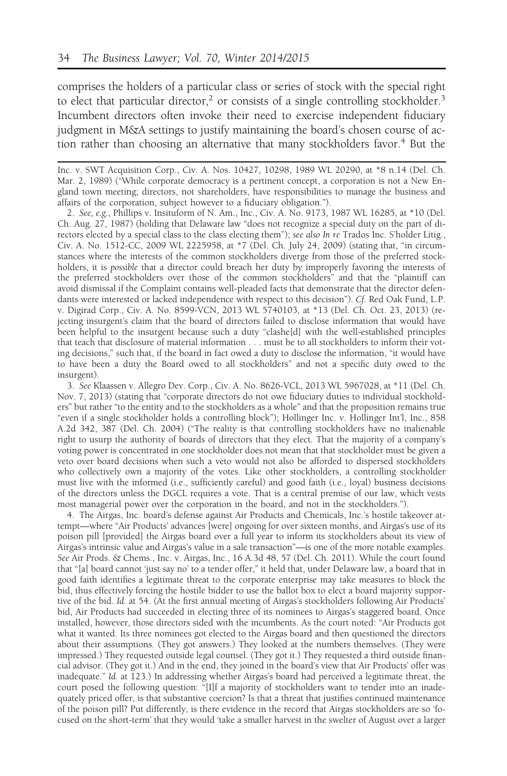comprises the holders of a particular class or series of stock with the special right to elect that particular director,<sup>2</sup> or consists of a single controlling stockholder.<sup>3</sup> Incumbent directors often invoke their need to exercise independent fiduciary judgment in M&A settings to justify maintaining the board's chosen course of action rather than choosing an alternative that many stockholders favor.<sup>4</sup> But the

2. See, e.g., Phillips v. Insituform of N. Am., Inc., Civ. A. No. 9173, 1987 WL 16285, at \*10 (Del. Ch. Aug. 27, 1987) (holding that Delaware law "does not recognize a special duty on the part of directors elected by a special class to the class electing them"); see also In re Trados Inc. S'holder Litig., Civ. A. No. 1512-CC, 2009 WL 2225958, at \*7 (Del. Ch. July 24, 2009) (stating that, "in circumstances where the interests of the common stockholders diverge from those of the preferred stockholders, it is possible that a director could breach her duty by improperly favoring the interests of the preferred stockholders over those of the common stockholders" and that the "plaintiff can avoid dismissal if the Complaint contains well-pleaded facts that demonstrate that the director defendants were interested or lacked independence with respect to this decision"). Cf. Red Oak Fund, L.P. v. Digirad Corp., Civ. A. No. 8599-VCN, 2013 WL 5740103, at \*13 (Del. Ch. Oct. 23, 2013) (rejecting insurgent's claim that the board of directors failed to disclose information that would have been helpful to the insurgent because such a duty "clashe[d] with the well-established principles that teach that disclosure of material information . . . must be to all stockholders to inform their voting decisions," such that, if the board in fact owed a duty to disclose the information, "it would have to have been a duty the Board owed to all stockholders" and not a specific duty owed to the insurgent).

3. See Klaassen v. Allegro Dev. Corp., Civ. A. No. 8626-VCL, 2013 WL 5967028, at \*11 (Del. Ch. Nov. 7, 2013) (stating that "corporate directors do not owe fiduciary duties to individual stockholders" but rather "to the entity and to the stockholders as a whole" and that the proposition remains true "even if a single stockholder holds a controlling block"); Hollinger Inc. v. Hollinger Int'l, Inc., 858 A.2d 342, 387 (Del. Ch. 2004) ("The reality is that controlling stockholders have no inalienable right to usurp the authority of boards of directors that they elect. That the majority of a company's voting power is concentrated in one stockholder does not mean that that stockholder must be given a veto over board decisions when such a veto would not also be afforded to dispersed stockholders who collectively own a majority of the votes. Like other stockholders, a controlling stockholder must live with the informed (i.e., sufficiently careful) and good faith (i.e., loyal) business decisions of the directors unless the DGCL requires a vote. That is a central premise of our law, which vests most managerial power over the corporation in the board, and not in the stockholders.").

4. The Airgas, Inc. board's defense against Air Products and Chemicals, Inc.'s hostile takeover attempt—where "Air Products' advances [were] ongoing for over sixteen months, and Airgas's use of its poison pill [provided] the Airgas board over a full year to inform its stockholders about its view of Airgas's intrinsic value and Airgas's value in a sale transaction"—is one of the more notable examples. See Air Prods. & Chems., Inc. v. Airgas, Inc., 16 A.3d 48, 57 (Del. Ch. 2011). While the court found that "[a] board cannot 'just say no' to a tender offer," it held that, under Delaware law, a board that in good faith identifies a legitimate threat to the corporate enterprise may take measures to block the bid, thus effectively forcing the hostile bidder to use the ballot box to elect a board majority supportive of the bid. Id. at 54. (At the first annual meeting of Airgas's stockholders following Air Products' bid, Air Products had succeeded in electing three of its nominees to Airgas's staggered board. Once installed, however, those directors sided with the incumbents. As the court noted: "Air Products got what it wanted. Its three nominees got elected to the Airgas board and then questioned the directors about their assumptions. (They got answers.) They looked at the numbers themselves. (They were impressed.) They requested outside legal counsel. (They got it.) They requested a third outside financial advisor. (They got it.) And in the end, they joined in the board's view that Air Products' offer was inadequate." Id. at 123.) In addressing whether Airgas's board had perceived a legitimate threat, the court posed the following question: "[I]f a majority of stockholders want to tender into an inadequately priced offer, is that substantive coercion? Is that a threat that justifies continued maintenance of the poison pill? Put differently, is there evidence in the record that Airgas stockholders are so 'focused on the short-term' that they would 'take a smaller harvest in the swelter of August over a larger

Inc. v. SWT Acquisition Corp., Civ. A. Nos. 10427, 10298, 1989 WL 20290, at \*8 n.14 (Del. Ch. Mar. 2, 1989) ("While corporate democracy is a pertinent concept, a corporation is not a New England town meeting; directors, not shareholders, have responsibilities to manage the business and affairs of the corporation, subject however to a fiduciary obligation.").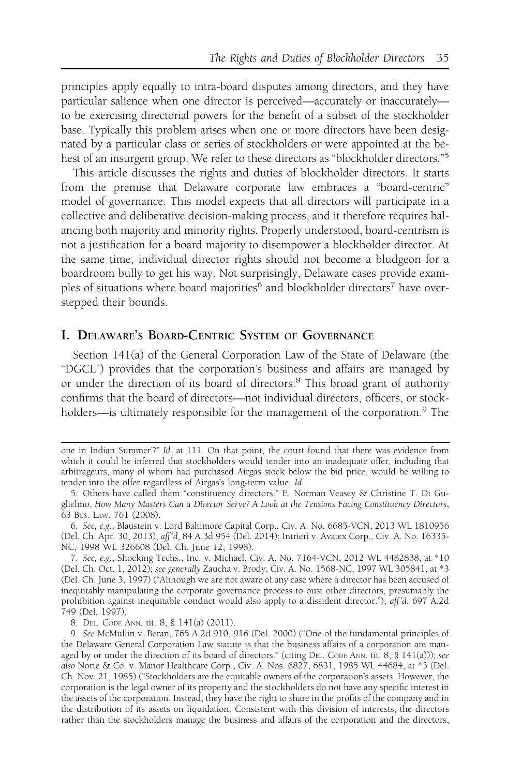principles apply equally to intra-board disputes among directors, and they have particular salience when one director is perceived—accurately or inaccurately to be exercising directorial powers for the benefit of a subset of the stockholder base. Typically this problem arises when one or more directors have been designated by a particular class or series of stockholders or were appointed at the behest of an insurgent group. We refer to these directors as "blockholder directors."5

This article discusses the rights and duties of blockholder directors. It starts from the premise that Delaware corporate law embraces a "board-centric" model of governance. This model expects that all directors will participate in a collective and deliberative decision-making process, and it therefore requires balancing both majority and minority rights. Properly understood, board-centrism is not a justification for a board majority to disempower a blockholder director. At the same time, individual director rights should not become a bludgeon for a boardroom bully to get his way. Not surprisingly, Delaware cases provide examples of situations where board majorities<sup>6</sup> and blockholder directors<sup>7</sup> have overstepped their bounds.

# I. DELAWARE'S BOARD-CENTRIC SYSTEM OF GOVERNANCE

Section 141(a) of the General Corporation Law of the State of Delaware (the "DGCL") provides that the corporation's business and affairs are managed by or under the direction of its board of directors.<sup>8</sup> This broad grant of authority confirms that the board of directors—not individual directors, officers, or stockholders—is ultimately responsible for the management of the corporation.<sup>9</sup> The

one in Indian Summer'?" Id. at 111. On that point, the court found that there was evidence from which it could be inferred that stockholders would tender into an inadequate offer, including that arbitrageurs, many of whom had purchased Airgas stock below the bid price, would be willing to tender into the offer regardless of Airgas's long-term value. Id.

<sup>5.</sup> Others have called them "constituency directors." E. Norman Veasey & Christine T. Di Guglielmo, How Many Masters Can a Director Serve? A Look at the Tensions Facing Constituency Directors, 63 BUS. LAW. 761 (2008).

<sup>6.</sup> See, e.g., Blaustein v. Lord Baltimore Capital Corp., Civ. A. No. 6685-VCN, 2013 WL 1810956 (Del. Ch. Apr. 30, 2013), aff 'd, 84 A.3d 954 (Del. 2014); Intrieri v. Avatex Corp., Civ. A. No. 16335- NC, 1998 WL 326608 (Del. Ch. June 12, 1998).

<sup>7.</sup> See, e.g., Shocking Techs., Inc. v. Michael, Civ. A. No. 7164-VCN, 2012 WL 4482838, at \*10 (Del. Ch. Oct. 1, 2012); see generally Zaucha v. Brody, Civ. A. No. 1568-NC, 1997 WL 305841, at \*3 (Del. Ch. June 3, 1997) ("Although we are not aware of any case where a director has been accused of inequitably manipulating the corporate governance process to oust other directors, presumably the prohibition against inequitable conduct would also apply to a dissident director."), aff 'd, 697 A.2d 749 (Del. 1997).

<sup>8.</sup> DEL. CODE ANN. tit. 8, § 141(a) (2011).

<sup>9.</sup> See McMullin v. Beran, 765 A.2d 910, 916 (Del. 2000) ("One of the fundamental principles of the Delaware General Corporation Law statute is that the business affairs of a corporation are managed by or under the direction of its board of directors." (citing DEL. CODE ANN. tit. 8, § 141(a))); see also Norte & Co. v. Manor Healthcare Corp., Civ. A. Nos. 6827, 6831, 1985 WL 44684, at \*3 (Del. Ch. Nov. 21, 1985) ("Stockholders are the equitable owners of the corporation's assets. However, the corporation is the legal owner of its property and the stockholders do not have any specific interest in the assets of the corporation. Instead, they have the right to share in the profits of the company and in the distribution of its assets on liquidation. Consistent with this division of interests, the directors rather than the stockholders manage the business and affairs of the corporation and the directors,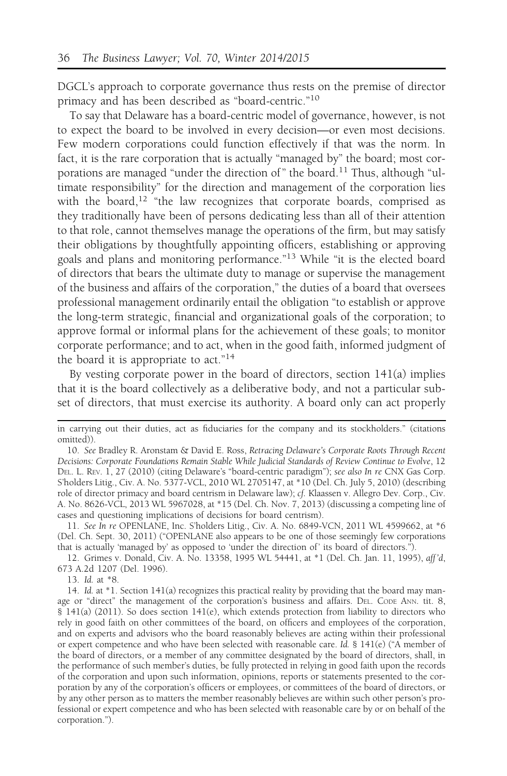DGCL's approach to corporate governance thus rests on the premise of director primacy and has been described as "board-centric."<sup>10</sup>

To say that Delaware has a board-centric model of governance, however, is not to expect the board to be involved in every decision—or even most decisions. Few modern corporations could function effectively if that was the norm. In fact, it is the rare corporation that is actually "managed by" the board; most corporations are managed "under the direction of" the board.<sup>11</sup> Thus, although "ultimate responsibility" for the direction and management of the corporation lies with the board,<sup>12</sup> "the law recognizes that corporate boards, comprised as they traditionally have been of persons dedicating less than all of their attention to that role, cannot themselves manage the operations of the firm, but may satisfy their obligations by thoughtfully appointing officers, establishing or approving goals and plans and monitoring performance."<sup>13</sup> While "it is the elected board of directors that bears the ultimate duty to manage or supervise the management of the business and affairs of the corporation," the duties of a board that oversees professional management ordinarily entail the obligation "to establish or approve the long-term strategic, financial and organizational goals of the corporation; to approve formal or informal plans for the achievement of these goals; to monitor corporate performance; and to act, when in the good faith, informed judgment of the board it is appropriate to act."<sup>14</sup>

By vesting corporate power in the board of directors, section 141(a) implies that it is the board collectively as a deliberative body, and not a particular subset of directors, that must exercise its authority. A board only can act properly

13. Id. at \*8.

in carrying out their duties, act as fiduciaries for the company and its stockholders." (citations omitted)).

<sup>10.</sup> See Bradley R. Aronstam & David E. Ross, Retracing Delaware's Corporate Roots Through Recent Decisions: Corporate Foundations Remain Stable While Judicial Standards of Review Continue to Evolve, 12 DEL. L. REV. 1, 27 (2010) (citing Delaware's "board-centric paradigm"); see also In re CNX Gas Corp. S'holders Litig., Civ. A. No. 5377-VCL, 2010 WL 2705147, at \*10 (Del. Ch. July 5, 2010) (describing role of director primacy and board centrism in Delaware law); cf. Klaassen v. Allegro Dev. Corp., Civ. A. No. 8626-VCL, 2013 WL 5967028, at \*15 (Del. Ch. Nov. 7, 2013) (discussing a competing line of cases and questioning implications of decisions for board centrism).

<sup>11.</sup> See In re OPENLANE, Inc. S'holders Litig., Civ. A. No. 6849-VCN, 2011 WL 4599662, at \*6 (Del. Ch. Sept. 30, 2011) ("OPENLANE also appears to be one of those seemingly few corporations that is actually 'managed by' as opposed to 'under the direction of ' its board of directors.").

<sup>12.</sup> Grimes v. Donald, Civ. A. No. 13358, 1995 WL 54441, at \*1 (Del. Ch. Jan. 11, 1995), aff 'd, 673 A.2d 1207 (Del. 1996).

<sup>14.</sup> Id. at \*1. Section 141(a) recognizes this practical reality by providing that the board may manage or "direct" the management of the corporation's business and affairs. DEL. CODE ANN. tit. 8, § 141(a) (2011). So does section 141(e), which extends protection from liability to directors who rely in good faith on other committees of the board, on officers and employees of the corporation, and on experts and advisors who the board reasonably believes are acting within their professional or expert competence and who have been selected with reasonable care. Id. § 141(e) ("A member of the board of directors, or a member of any committee designated by the board of directors, shall, in the performance of such member's duties, be fully protected in relying in good faith upon the records of the corporation and upon such information, opinions, reports or statements presented to the corporation by any of the corporation's officers or employees, or committees of the board of directors, or by any other person as to matters the member reasonably believes are within such other person's professional or expert competence and who has been selected with reasonable care by or on behalf of the corporation.").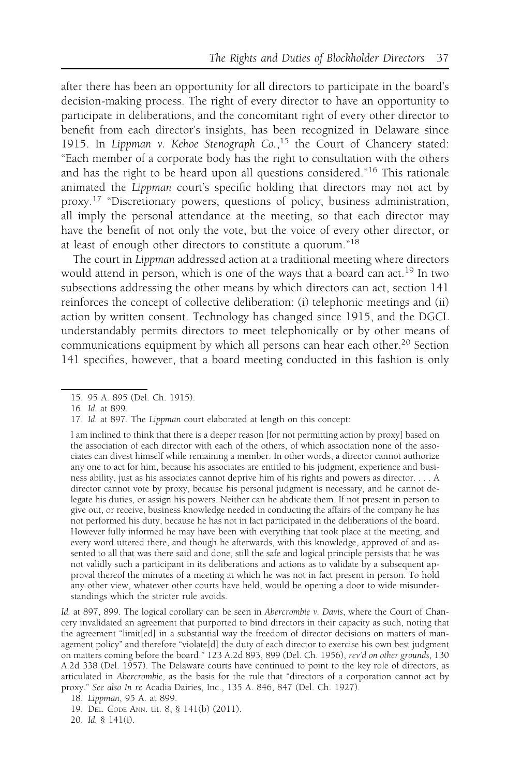after there has been an opportunity for all directors to participate in the board's decision-making process. The right of every director to have an opportunity to participate in deliberations, and the concomitant right of every other director to benefit from each director's insights, has been recognized in Delaware since 1915. In Lippman v. Kehoe Stenograph Co.,<sup>15</sup> the Court of Chancery stated: "Each member of a corporate body has the right to consultation with the others and has the right to be heard upon all questions considered."<sup>16</sup> This rationale animated the Lippman court's specific holding that directors may not act by proxy.<sup>17</sup> "Discretionary powers, questions of policy, business administration, all imply the personal attendance at the meeting, so that each director may have the benefit of not only the vote, but the voice of every other director, or at least of enough other directors to constitute a quorum."<sup>18</sup>

The court in Lippman addressed action at a traditional meeting where directors would attend in person, which is one of the ways that a board can act.<sup>19</sup> In two subsections addressing the other means by which directors can act, section 141 reinforces the concept of collective deliberation: (i) telephonic meetings and (ii) action by written consent. Technology has changed since 1915, and the DGCL understandably permits directors to meet telephonically or by other means of communications equipment by which all persons can hear each other.<sup>20</sup> Section 141 specifies, however, that a board meeting conducted in this fashion is only

<sup>15. 95</sup> A. 895 (Del. Ch. 1915).

<sup>16.</sup> Id. at 899.

<sup>17.</sup> Id. at 897. The Lippman court elaborated at length on this concept:

I am inclined to think that there is a deeper reason [for not permitting action by proxy] based on the association of each director with each of the others, of which association none of the associates can divest himself while remaining a member. In other words, a director cannot authorize any one to act for him, because his associates are entitled to his judgment, experience and business ability, just as his associates cannot deprive him of his rights and powers as director. . . . A director cannot vote by proxy, because his personal judgment is necessary, and he cannot delegate his duties, or assign his powers. Neither can he abdicate them. If not present in person to give out, or receive, business knowledge needed in conducting the affairs of the company he has not performed his duty, because he has not in fact participated in the deliberations of the board. However fully informed he may have been with everything that took place at the meeting, and every word uttered there, and though he afterwards, with this knowledge, approved of and assented to all that was there said and done, still the safe and logical principle persists that he was not validly such a participant in its deliberations and actions as to validate by a subsequent approval thereof the minutes of a meeting at which he was not in fact present in person. To hold any other view, whatever other courts have held, would be opening a door to wide misunderstandings which the stricter rule avoids.

Id. at 897, 899. The logical corollary can be seen in Abercrombie v. Davis, where the Court of Chancery invalidated an agreement that purported to bind directors in their capacity as such, noting that the agreement "limit[ed] in a substantial way the freedom of director decisions on matters of management policy" and therefore "violate[d] the duty of each director to exercise his own best judgment on matters coming before the board." 123 A.2d 893, 899 (Del. Ch. 1956), rev'd on other grounds, 130 A.2d 338 (Del. 1957). The Delaware courts have continued to point to the key role of directors, as articulated in Abercrombie, as the basis for the rule that "directors of a corporation cannot act by proxy." See also In re Acadia Dairies, Inc., 135 A. 846, 847 (Del. Ch. 1927).

<sup>18.</sup> Lippman, 95 A. at 899.

<sup>19.</sup> DEL. CODE ANN. tit. 8, § 141(b) (2011).

<sup>20.</sup> Id. § 141(i).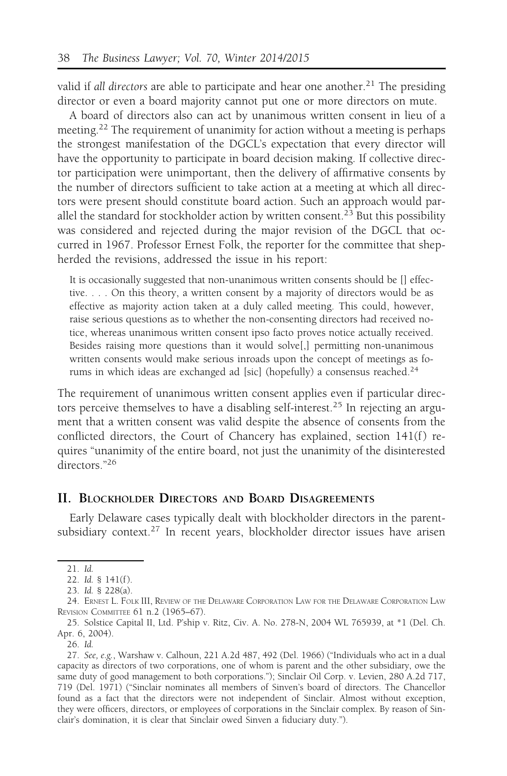valid if all directors are able to participate and hear one another.<sup>21</sup> The presiding director or even a board majority cannot put one or more directors on mute.

A board of directors also can act by unanimous written consent in lieu of a meeting.<sup>22</sup> The requirement of unanimity for action without a meeting is perhaps the strongest manifestation of the DGCL's expectation that every director will have the opportunity to participate in board decision making. If collective director participation were unimportant, then the delivery of affirmative consents by the number of directors sufficient to take action at a meeting at which all directors were present should constitute board action. Such an approach would parallel the standard for stockholder action by written consent.<sup>23</sup> But this possibility was considered and rejected during the major revision of the DGCL that occurred in 1967. Professor Ernest Folk, the reporter for the committee that shepherded the revisions, addressed the issue in his report:

It is occasionally suggested that non-unanimous written consents should be [] effective. . . . On this theory, a written consent by a majority of directors would be as effective as majority action taken at a duly called meeting. This could, however, raise serious questions as to whether the non-consenting directors had received notice, whereas unanimous written consent ipso facto proves notice actually received. Besides raising more questions than it would solve[,] permitting non-unanimous written consents would make serious inroads upon the concept of meetings as forums in which ideas are exchanged ad [sic] (hopefully) a consensus reached.<sup>24</sup>

The requirement of unanimous written consent applies even if particular directors perceive themselves to have a disabling self-interest.<sup>25</sup> In rejecting an argument that a written consent was valid despite the absence of consents from the conflicted directors, the Court of Chancery has explained, section 141(f) requires "unanimity of the entire board, not just the unanimity of the disinterested directors<sup>"26</sup>

#### II. BLOCKHOLDER DIRECTORS AND BOARD DISAGREEMENTS

Early Delaware cases typically dealt with blockholder directors in the parentsubsidiary context.<sup>27</sup> In recent years, blockholder director issues have arisen

<sup>21.</sup> Id.

<sup>22.</sup> Id. § 141(f).

<sup>23.</sup> Id. § 228(a).

<sup>24.</sup> ERNEST L. FOLK III, REVIEW OF THE DELAWARE CORPORATION LAW FOR THE DELAWARE CORPORATION LAW REVISION COMMITTEE 61 n.2 (1965–67).

<sup>25.</sup> Solstice Capital II, Ltd. P'ship v. Ritz, Civ. A. No. 278-N, 2004 WL 765939, at \*1 (Del. Ch. Apr. 6, 2004).

<sup>26.</sup> Id.

<sup>27.</sup> See, e.g., Warshaw v. Calhoun, 221 A.2d 487, 492 (Del. 1966) ("Individuals who act in a dual capacity as directors of two corporations, one of whom is parent and the other subsidiary, owe the same duty of good management to both corporations."); Sinclair Oil Corp. v. Levien, 280 A.2d 717, 719 (Del. 1971) ("Sinclair nominates all members of Sinven's board of directors. The Chancellor found as a fact that the directors were not independent of Sinclair. Almost without exception, they were officers, directors, or employees of corporations in the Sinclair complex. By reason of Sinclair's domination, it is clear that Sinclair owed Sinven a fiduciary duty.").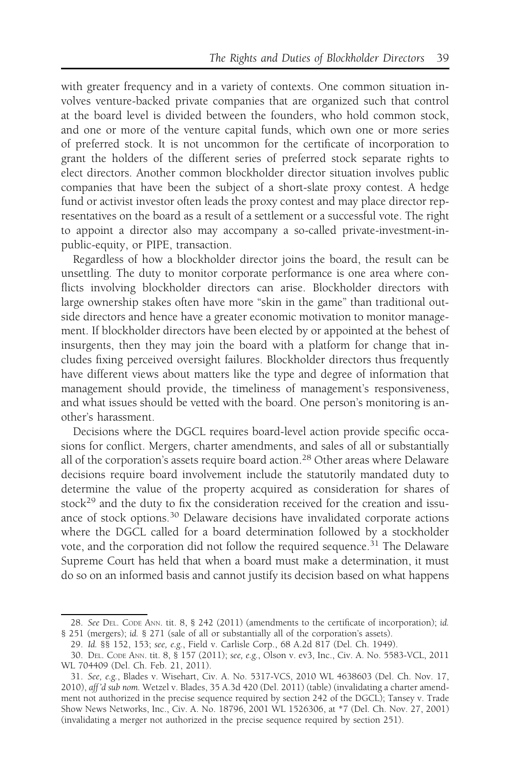with greater frequency and in a variety of contexts. One common situation involves venture-backed private companies that are organized such that control at the board level is divided between the founders, who hold common stock, and one or more of the venture capital funds, which own one or more series of preferred stock. It is not uncommon for the certificate of incorporation to grant the holders of the different series of preferred stock separate rights to elect directors. Another common blockholder director situation involves public companies that have been the subject of a short-slate proxy contest. A hedge fund or activist investor often leads the proxy contest and may place director representatives on the board as a result of a settlement or a successful vote. The right to appoint a director also may accompany a so-called private-investment-inpublic-equity, or PIPE, transaction.

Regardless of how a blockholder director joins the board, the result can be unsettling. The duty to monitor corporate performance is one area where conflicts involving blockholder directors can arise. Blockholder directors with large ownership stakes often have more "skin in the game" than traditional outside directors and hence have a greater economic motivation to monitor management. If blockholder directors have been elected by or appointed at the behest of insurgents, then they may join the board with a platform for change that includes fixing perceived oversight failures. Blockholder directors thus frequently have different views about matters like the type and degree of information that management should provide, the timeliness of management's responsiveness, and what issues should be vetted with the board. One person's monitoring is another's harassment.

Decisions where the DGCL requires board-level action provide specific occasions for conflict. Mergers, charter amendments, and sales of all or substantially all of the corporation's assets require board action.<sup>28</sup> Other areas where Delaware decisions require board involvement include the statutorily mandated duty to determine the value of the property acquired as consideration for shares of stock<sup>29</sup> and the duty to fix the consideration received for the creation and issuance of stock options.<sup>30</sup> Delaware decisions have invalidated corporate actions where the DGCL called for a board determination followed by a stockholder vote, and the corporation did not follow the required sequence.<sup>31</sup> The Delaware Supreme Court has held that when a board must make a determination, it must do so on an informed basis and cannot justify its decision based on what happens

<sup>28.</sup> See DEL. CODE ANN. tit. 8, § 242 (2011) (amendments to the certificate of incorporation); id. § 251 (mergers); id. § 271 (sale of all or substantially all of the corporation's assets).

<sup>29.</sup> Id. §§ 152, 153; see, e.g., Field v. Carlisle Corp., 68 A.2d 817 (Del. Ch. 1949).

<sup>30.</sup> DEL. CODE ANN. tit. 8, § 157 (2011); see, e.g., Olson v. ev3, Inc., Civ. A. No. 5583-VCL, 2011 WL 704409 (Del. Ch. Feb. 21, 2011).

<sup>31.</sup> See, e.g., Blades v. Wisehart, Civ. A. No. 5317-VCS, 2010 WL 4638603 (Del. Ch. Nov. 17, 2010), aff 'd sub nom. Wetzel v. Blades, 35 A.3d 420 (Del. 2011) (table) (invalidating a charter amendment not authorized in the precise sequence required by section 242 of the DGCL); Tansey v. Trade Show News Networks, Inc., Civ. A. No. 18796, 2001 WL 1526306, at \*7 (Del. Ch. Nov. 27, 2001) (invalidating a merger not authorized in the precise sequence required by section 251).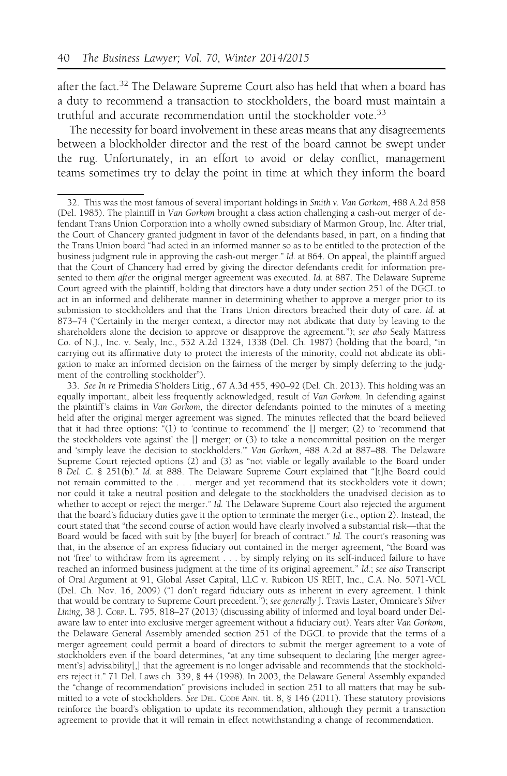after the fact.<sup>32</sup> The Delaware Supreme Court also has held that when a board has a duty to recommend a transaction to stockholders, the board must maintain a truthful and accurate recommendation until the stockholder vote.<sup>33</sup>

The necessity for board involvement in these areas means that any disagreements between a blockholder director and the rest of the board cannot be swept under the rug. Unfortunately, in an effort to avoid or delay conflict, management teams sometimes try to delay the point in time at which they inform the board

33. See In re Primedia S'holders Litig., 67 A.3d 455, 490–92 (Del. Ch. 2013). This holding was an equally important, albeit less frequently acknowledged, result of Van Gorkom. In defending against the plaintiff's claims in Van Gorkom, the director defendants pointed to the minutes of a meeting held after the original merger agreement was signed. The minutes reflected that the board believed that it had three options: "(1) to 'continue to recommend' the  $\left[ \right]$  merger; (2) to 'recommend that the stockholders vote against' the [] merger; or (3) to take a noncommittal position on the merger and 'simply leave the decision to stockholders.'" Van Gorkom, 488 A.2d at 887–88. The Delaware Supreme Court rejected options (2) and (3) as "not viable or legally available to the Board under 8 Del. C. § 251(b)." Id. at 888. The Delaware Supreme Court explained that "[t]he Board could not remain committed to the . . . merger and yet recommend that its stockholders vote it down; nor could it take a neutral position and delegate to the stockholders the unadvised decision as to whether to accept or reject the merger." Id. The Delaware Supreme Court also rejected the argument that the board's fiduciary duties gave it the option to terminate the merger (i.e., option 2). Instead, the court stated that "the second course of action would have clearly involved a substantial risk—that the Board would be faced with suit by [the buyer] for breach of contract." Id. The court's reasoning was that, in the absence of an express fiduciary out contained in the merger agreement, "the Board was not 'free' to withdraw from its agreement . . . by simply relying on its self-induced failure to have reached an informed business judgment at the time of its original agreement." Id.; see also Transcript of Oral Argument at 91, Global Asset Capital, LLC v. Rubicon US REIT, Inc., C.A. No. 5071-VCL (Del. Ch. Nov. 16, 2009) ("I don't regard fiduciary outs as inherent in every agreement. I think that would be contrary to Supreme Court precedent."); see generally J. Travis Laster, Omnicare's Silver Lining, 38 J. CORP. L. 795, 818–27 (2013) (discussing ability of informed and loyal board under Delaware law to enter into exclusive merger agreement without a fiduciary out). Years after Van Gorkom, the Delaware General Assembly amended section 251 of the DGCL to provide that the terms of a merger agreement could permit a board of directors to submit the merger agreement to a vote of stockholders even if the board determines, "at any time subsequent to declaring [the merger agreement's] advisability[,] that the agreement is no longer advisable and recommends that the stockholders reject it." 71 Del. Laws ch. 339, § 44 (1998). In 2003, the Delaware General Assembly expanded the "change of recommendation" provisions included in section 251 to all matters that may be submitted to a vote of stockholders. See DEL. CODE ANN. tit. 8, § 146 (2011). These statutory provisions reinforce the board's obligation to update its recommendation, although they permit a transaction agreement to provide that it will remain in effect notwithstanding a change of recommendation.

<sup>32.</sup> This was the most famous of several important holdings in Smith v. Van Gorkom, 488 A.2d 858 (Del. 1985). The plaintiff in Van Gorkom brought a class action challenging a cash-out merger of defendant Trans Union Corporation into a wholly owned subsidiary of Marmon Group, Inc. After trial, the Court of Chancery granted judgment in favor of the defendants based, in part, on a finding that the Trans Union board "had acted in an informed manner so as to be entitled to the protection of the business judgment rule in approving the cash-out merger." Id. at 864. On appeal, the plaintiff argued that the Court of Chancery had erred by giving the director defendants credit for information presented to them after the original merger agreement was executed. Id. at 887. The Delaware Supreme Court agreed with the plaintiff, holding that directors have a duty under section 251 of the DGCL to act in an informed and deliberate manner in determining whether to approve a merger prior to its submission to stockholders and that the Trans Union directors breached their duty of care. Id. at 873–74 ("Certainly in the merger context, a director may not abdicate that duty by leaving to the shareholders alone the decision to approve or disapprove the agreement."); see also Sealy Mattress Co. of N.J., Inc. v. Sealy, Inc., 532 A.2d 1324, 1338 (Del. Ch. 1987) (holding that the board, "in carrying out its affirmative duty to protect the interests of the minority, could not abdicate its obligation to make an informed decision on the fairness of the merger by simply deferring to the judgment of the controlling stockholder").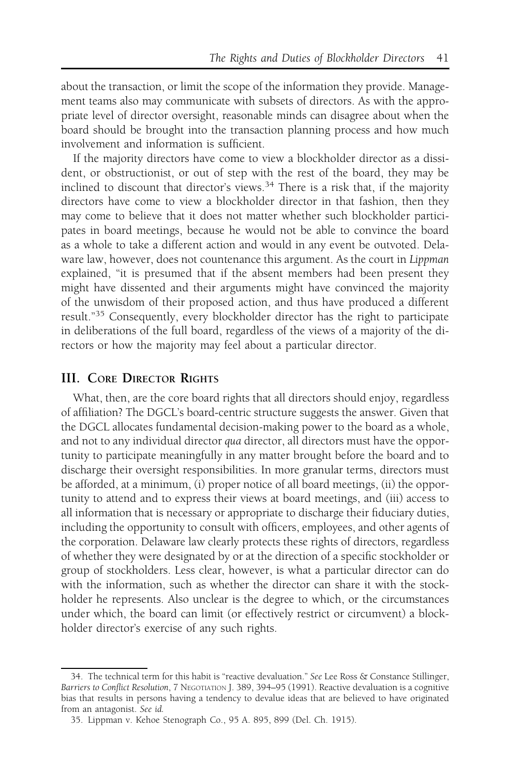about the transaction, or limit the scope of the information they provide. Management teams also may communicate with subsets of directors. As with the appropriate level of director oversight, reasonable minds can disagree about when the board should be brought into the transaction planning process and how much involvement and information is sufficient.

If the majority directors have come to view a blockholder director as a dissident, or obstructionist, or out of step with the rest of the board, they may be inclined to discount that director's views.<sup>34</sup> There is a risk that, if the majority directors have come to view a blockholder director in that fashion, then they may come to believe that it does not matter whether such blockholder participates in board meetings, because he would not be able to convince the board as a whole to take a different action and would in any event be outvoted. Delaware law, however, does not countenance this argument. As the court in Lippman explained, "it is presumed that if the absent members had been present they might have dissented and their arguments might have convinced the majority of the unwisdom of their proposed action, and thus have produced a different result."<sup>35</sup> Consequently, every blockholder director has the right to participate in deliberations of the full board, regardless of the views of a majority of the directors or how the majority may feel about a particular director.

## III. CORE DIRECTOR RIGHTS

What, then, are the core board rights that all directors should enjoy, regardless of affiliation? The DGCL's board-centric structure suggests the answer. Given that the DGCL allocates fundamental decision-making power to the board as a whole, and not to any individual director qua director, all directors must have the opportunity to participate meaningfully in any matter brought before the board and to discharge their oversight responsibilities. In more granular terms, directors must be afforded, at a minimum, (i) proper notice of all board meetings, (ii) the opportunity to attend and to express their views at board meetings, and (iii) access to all information that is necessary or appropriate to discharge their fiduciary duties, including the opportunity to consult with officers, employees, and other agents of the corporation. Delaware law clearly protects these rights of directors, regardless of whether they were designated by or at the direction of a specific stockholder or group of stockholders. Less clear, however, is what a particular director can do with the information, such as whether the director can share it with the stockholder he represents. Also unclear is the degree to which, or the circumstances under which, the board can limit (or effectively restrict or circumvent) a blockholder director's exercise of any such rights.

<sup>34.</sup> The technical term for this habit is "reactive devaluation." See Lee Ross & Constance Stillinger, Barriers to Conflict Resolution, 7 NEGOTIATION J. 389, 394-95 (1991). Reactive devaluation is a cognitive bias that results in persons having a tendency to devalue ideas that are believed to have originated from an antagonist. See id.

<sup>35.</sup> Lippman v. Kehoe Stenograph Co., 95 A. 895, 899 (Del. Ch. 1915).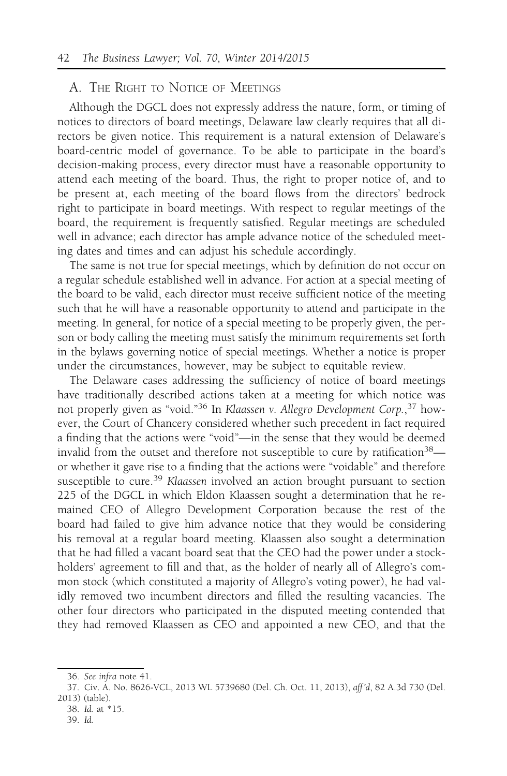#### A. THE RIGHT TO NOTICE OF MEETINGS

Although the DGCL does not expressly address the nature, form, or timing of notices to directors of board meetings, Delaware law clearly requires that all directors be given notice. This requirement is a natural extension of Delaware's board-centric model of governance. To be able to participate in the board's decision-making process, every director must have a reasonable opportunity to attend each meeting of the board. Thus, the right to proper notice of, and to be present at, each meeting of the board flows from the directors' bedrock right to participate in board meetings. With respect to regular meetings of the board, the requirement is frequently satisfied. Regular meetings are scheduled well in advance; each director has ample advance notice of the scheduled meeting dates and times and can adjust his schedule accordingly.

The same is not true for special meetings, which by definition do not occur on a regular schedule established well in advance. For action at a special meeting of the board to be valid, each director must receive sufficient notice of the meeting such that he will have a reasonable opportunity to attend and participate in the meeting. In general, for notice of a special meeting to be properly given, the person or body calling the meeting must satisfy the minimum requirements set forth in the bylaws governing notice of special meetings. Whether a notice is proper under the circumstances, however, may be subject to equitable review.

The Delaware cases addressing the sufficiency of notice of board meetings have traditionally described actions taken at a meeting for which notice was not properly given as "void."<sup>36</sup> In Klaassen v. Allegro Development Corp.,<sup>37</sup> however, the Court of Chancery considered whether such precedent in fact required a finding that the actions were "void"—in the sense that they would be deemed invalid from the outset and therefore not susceptible to cure by ratification<sup>38</sup> or whether it gave rise to a finding that the actions were "voidable" and therefore susceptible to cure.<sup>39</sup> Klaassen involved an action brought pursuant to section 225 of the DGCL in which Eldon Klaassen sought a determination that he remained CEO of Allegro Development Corporation because the rest of the board had failed to give him advance notice that they would be considering his removal at a regular board meeting. Klaassen also sought a determination that he had filled a vacant board seat that the CEO had the power under a stockholders' agreement to fill and that, as the holder of nearly all of Allegro's common stock (which constituted a majority of Allegro's voting power), he had validly removed two incumbent directors and filled the resulting vacancies. The other four directors who participated in the disputed meeting contended that they had removed Klaassen as CEO and appointed a new CEO, and that the

<sup>36.</sup> See infra note 41.

<sup>37.</sup> Civ. A. No. 8626-VCL, 2013 WL 5739680 (Del. Ch. Oct. 11, 2013), aff 'd, 82 A.3d 730 (Del. 2013) (table).

<sup>38.</sup> Id. at \*15.

<sup>39.</sup> Id.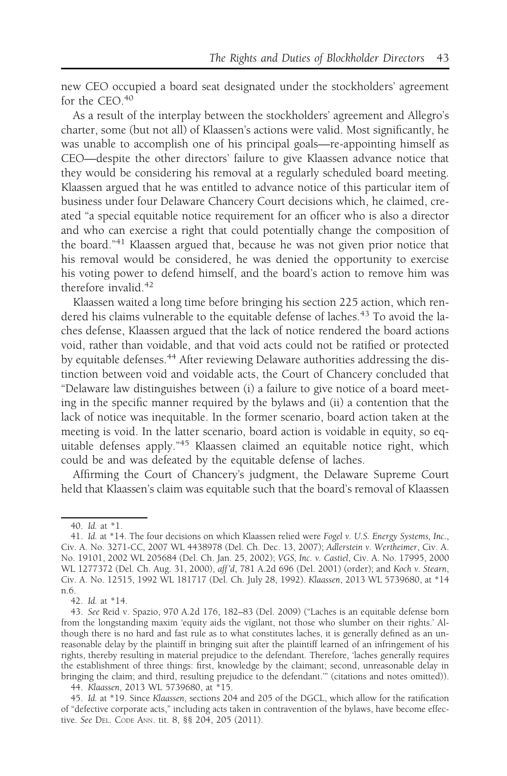new CEO occupied a board seat designated under the stockholders' agreement for the CEO.<sup>40</sup>

As a result of the interplay between the stockholders' agreement and Allegro's charter, some (but not all) of Klaassen's actions were valid. Most significantly, he was unable to accomplish one of his principal goals—re-appointing himself as CEO—despite the other directors' failure to give Klaassen advance notice that they would be considering his removal at a regularly scheduled board meeting. Klaassen argued that he was entitled to advance notice of this particular item of business under four Delaware Chancery Court decisions which, he claimed, created "a special equitable notice requirement for an officer who is also a director and who can exercise a right that could potentially change the composition of the board."<sup>41</sup> Klaassen argued that, because he was not given prior notice that his removal would be considered, he was denied the opportunity to exercise his voting power to defend himself, and the board's action to remove him was therefore invalid. $42$ 

Klaassen waited a long time before bringing his section 225 action, which rendered his claims vulnerable to the equitable defense of laches.<sup>43</sup> To avoid the laches defense, Klaassen argued that the lack of notice rendered the board actions void, rather than voidable, and that void acts could not be ratified or protected by equitable defenses.<sup>44</sup> After reviewing Delaware authorities addressing the distinction between void and voidable acts, the Court of Chancery concluded that "Delaware law distinguishes between (i) a failure to give notice of a board meeting in the specific manner required by the bylaws and (ii) a contention that the lack of notice was inequitable. In the former scenario, board action taken at the meeting is void. In the latter scenario, board action is voidable in equity, so equitable defenses apply."<sup>45</sup> Klaassen claimed an equitable notice right, which could be and was defeated by the equitable defense of laches.

Affirming the Court of Chancery's judgment, the Delaware Supreme Court held that Klaassen's claim was equitable such that the board's removal of Klaassen

44. Klaassen, 2013 WL 5739680, at \*15.

<sup>40.</sup> Id. at \*1.

<sup>41.</sup> Id. at \*14. The four decisions on which Klaassen relied were Fogel v. U.S. Energy Systems, Inc., Civ. A. No. 3271-CC, 2007 WL 4438978 (Del. Ch. Dec. 13, 2007); Adlerstein v. Wertheimer, Civ. A. No. 19101, 2002 WL 205684 (Del. Ch. Jan. 25, 2002); VGS, Inc. v. Castiel, Civ. A. No. 17995, 2000 WL 1277372 (Del. Ch. Aug. 31, 2000), aff 'd, 781 A.2d 696 (Del. 2001) (order); and Koch v. Stearn, Civ. A. No. 12515, 1992 WL 181717 (Del. Ch. July 28, 1992). Klaassen, 2013 WL 5739680, at \*14 n.6.

<sup>42.</sup> Id. at \*14.

<sup>43.</sup> See Reid v. Spazio, 970 A.2d 176, 182–83 (Del. 2009) ("Laches is an equitable defense born from the longstanding maxim 'equity aids the vigilant, not those who slumber on their rights.' Although there is no hard and fast rule as to what constitutes laches, it is generally defined as an unreasonable delay by the plaintiff in bringing suit after the plaintiff learned of an infringement of his rights, thereby resulting in material prejudice to the defendant. Therefore, 'laches generally requires the establishment of three things: first, knowledge by the claimant; second, unreasonable delay in bringing the claim; and third, resulting prejudice to the defendant.'" (citations and notes omitted)).

<sup>45.</sup> Id. at \*19. Since Klaassen, sections 204 and 205 of the DGCL, which allow for the ratification of "defective corporate acts," including acts taken in contravention of the bylaws, have become effective. See DEL. CODE ANN. tit. 8, §§ 204, 205 (2011).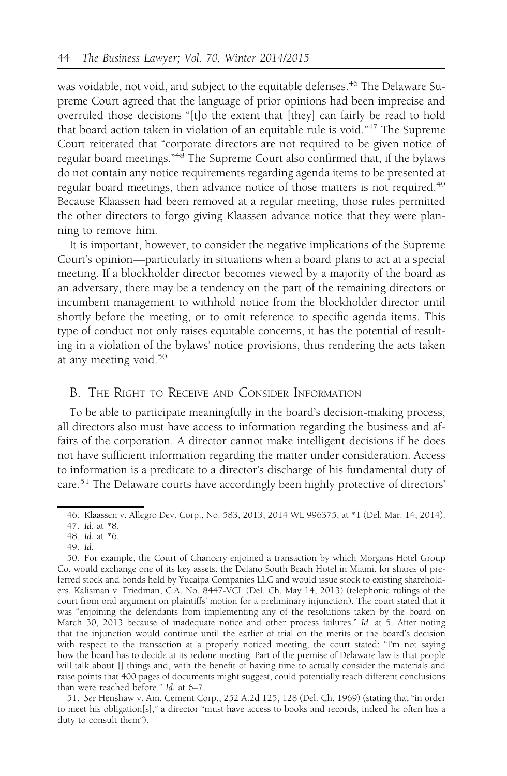was voidable, not void, and subject to the equitable defenses.<sup>46</sup> The Delaware Supreme Court agreed that the language of prior opinions had been imprecise and overruled those decisions "[t]o the extent that [they] can fairly be read to hold that board action taken in violation of an equitable rule is void."47 The Supreme Court reiterated that "corporate directors are not required to be given notice of regular board meetings."48 The Supreme Court also confirmed that, if the bylaws do not contain any notice requirements regarding agenda items to be presented at regular board meetings, then advance notice of those matters is not required.<sup>49</sup> Because Klaassen had been removed at a regular meeting, those rules permitted the other directors to forgo giving Klaassen advance notice that they were planning to remove him.

It is important, however, to consider the negative implications of the Supreme Court's opinion—particularly in situations when a board plans to act at a special meeting. If a blockholder director becomes viewed by a majority of the board as an adversary, there may be a tendency on the part of the remaining directors or incumbent management to withhold notice from the blockholder director until shortly before the meeting, or to omit reference to specific agenda items. This type of conduct not only raises equitable concerns, it has the potential of resulting in a violation of the bylaws' notice provisions, thus rendering the acts taken at any meeting void.<sup>50</sup>

# B. THE RIGHT TO RECEIVE AND CONSIDER INFORMATION

To be able to participate meaningfully in the board's decision-making process, all directors also must have access to information regarding the business and affairs of the corporation. A director cannot make intelligent decisions if he does not have sufficient information regarding the matter under consideration. Access to information is a predicate to a director's discharge of his fundamental duty of care.51 The Delaware courts have accordingly been highly protective of directors'

49. Id.

<sup>46.</sup> Klaassen v. Allegro Dev. Corp., No. 583, 2013, 2014 WL 996375, at \*1 (Del. Mar. 14, 2014).

<sup>47.</sup> Id. at \*8.

<sup>48.</sup> Id. at \*6.

<sup>50.</sup> For example, the Court of Chancery enjoined a transaction by which Morgans Hotel Group Co. would exchange one of its key assets, the Delano South Beach Hotel in Miami, for shares of preferred stock and bonds held by Yucaipa Companies LLC and would issue stock to existing shareholders. Kalisman v. Friedman, C.A. No. 8447-VCL (Del. Ch. May 14, 2013) (telephonic rulings of the court from oral argument on plaintiffs' motion for a preliminary injunction). The court stated that it was "enjoining the defendants from implementing any of the resolutions taken by the board on March 30, 2013 because of inadequate notice and other process failures." Id. at 5. After noting that the injunction would continue until the earlier of trial on the merits or the board's decision with respect to the transaction at a properly noticed meeting, the court stated: "I'm not saying how the board has to decide at its redone meeting. Part of the premise of Delaware law is that people will talk about [] things and, with the benefit of having time to actually consider the materials and raise points that 400 pages of documents might suggest, could potentially reach different conclusions than were reached before." Id. at 6–7.

<sup>51.</sup> See Henshaw v. Am. Cement Corp., 252 A.2d 125, 128 (Del. Ch. 1969) (stating that "in order to meet his obligation[s]," a director "must have access to books and records; indeed he often has a duty to consult them").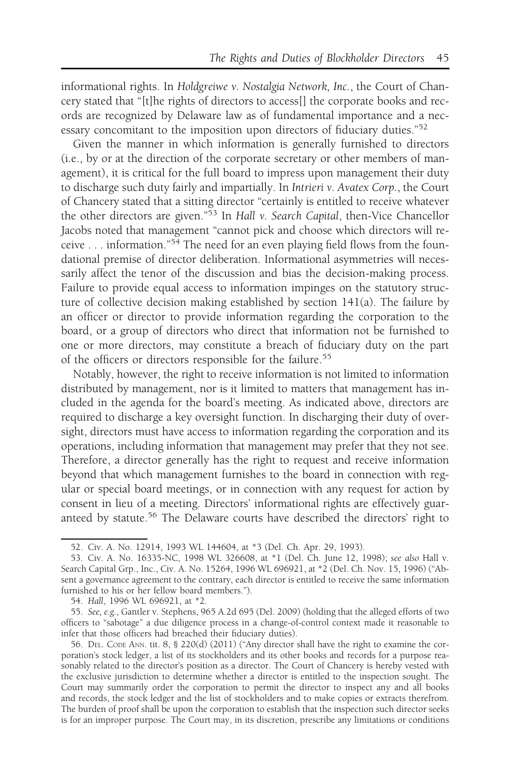informational rights. In Holdgreiwe v. Nostalgia Network, Inc., the Court of Chancery stated that "[t]he rights of directors to access[] the corporate books and records are recognized by Delaware law as of fundamental importance and a necessary concomitant to the imposition upon directors of fiduciary duties."<sup>52</sup>

Given the manner in which information is generally furnished to directors (i.e., by or at the direction of the corporate secretary or other members of management), it is critical for the full board to impress upon management their duty to discharge such duty fairly and impartially. In Intrieri v. Avatex Corp., the Court of Chancery stated that a sitting director "certainly is entitled to receive whatever the other directors are given."<sup>53</sup> In Hall v. Search Capital, then-Vice Chancellor Jacobs noted that management "cannot pick and choose which directors will receive  $\ldots$  information."<sup>54</sup> The need for an even playing field flows from the foundational premise of director deliberation. Informational asymmetries will necessarily affect the tenor of the discussion and bias the decision-making process. Failure to provide equal access to information impinges on the statutory structure of collective decision making established by section 141(a). The failure by an officer or director to provide information regarding the corporation to the board, or a group of directors who direct that information not be furnished to one or more directors, may constitute a breach of fiduciary duty on the part of the officers or directors responsible for the failure.<sup>55</sup>

Notably, however, the right to receive information is not limited to information distributed by management, nor is it limited to matters that management has included in the agenda for the board's meeting. As indicated above, directors are required to discharge a key oversight function. In discharging their duty of oversight, directors must have access to information regarding the corporation and its operations, including information that management may prefer that they not see. Therefore, a director generally has the right to request and receive information beyond that which management furnishes to the board in connection with regular or special board meetings, or in connection with any request for action by consent in lieu of a meeting. Directors' informational rights are effectively guaranteed by statute.<sup>56</sup> The Delaware courts have described the directors' right to

<sup>52.</sup> Civ. A. No. 12914, 1993 WL 144604, at \*3 (Del. Ch. Apr. 29, 1993).

<sup>53.</sup> Civ. A. No. 16335-NC, 1998 WL 326608, at \*1 (Del. Ch. June 12, 1998); see also Hall v. Search Capital Grp., Inc., Civ. A. No. 15264, 1996 WL 696921, at \*2 (Del. Ch. Nov. 15, 1996) ("Absent a governance agreement to the contrary, each director is entitled to receive the same information furnished to his or her fellow board members.").

<sup>54.</sup> Hall, 1996 WL 696921, at \*2.

<sup>55.</sup> See, e.g., Gantler v. Stephens, 965 A.2d 695 (Del. 2009) (holding that the alleged efforts of two officers to "sabotage" a due diligence process in a change-of-control context made it reasonable to infer that those officers had breached their fiduciary duties).

<sup>56.</sup> DEL. CODE ANN. tit. 8, § 220(d) (2011) ("Any director shall have the right to examine the corporation's stock ledger, a list of its stockholders and its other books and records for a purpose reasonably related to the director's position as a director. The Court of Chancery is hereby vested with the exclusive jurisdiction to determine whether a director is entitled to the inspection sought. The Court may summarily order the corporation to permit the director to inspect any and all books and records, the stock ledger and the list of stockholders and to make copies or extracts therefrom. The burden of proof shall be upon the corporation to establish that the inspection such director seeks is for an improper purpose. The Court may, in its discretion, prescribe any limitations or conditions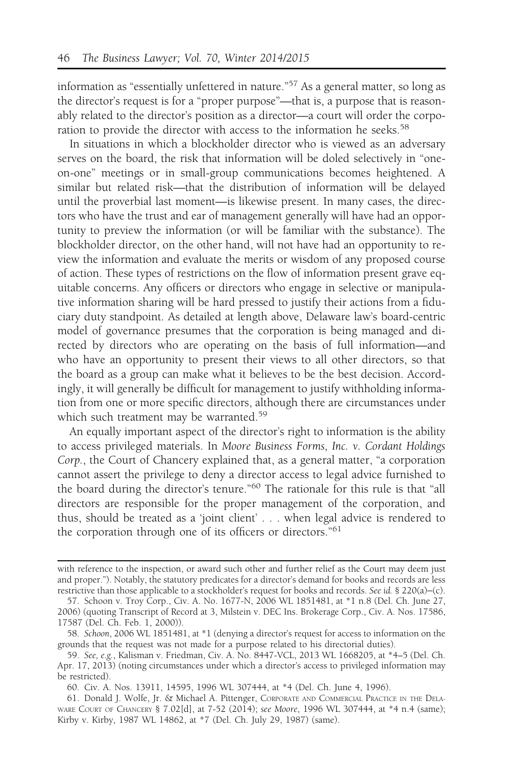information as "essentially unfettered in nature."57 As a general matter, so long as the director's request is for a "proper purpose"—that is, a purpose that is reasonably related to the director's position as a director—a court will order the corporation to provide the director with access to the information he seeks.<sup>58</sup>

In situations in which a blockholder director who is viewed as an adversary serves on the board, the risk that information will be doled selectively in "oneon-one" meetings or in small-group communications becomes heightened. A similar but related risk—that the distribution of information will be delayed until the proverbial last moment—is likewise present. In many cases, the directors who have the trust and ear of management generally will have had an opportunity to preview the information (or will be familiar with the substance). The blockholder director, on the other hand, will not have had an opportunity to review the information and evaluate the merits or wisdom of any proposed course of action. These types of restrictions on the flow of information present grave equitable concerns. Any officers or directors who engage in selective or manipulative information sharing will be hard pressed to justify their actions from a fiduciary duty standpoint. As detailed at length above, Delaware law's board-centric model of governance presumes that the corporation is being managed and directed by directors who are operating on the basis of full information—and who have an opportunity to present their views to all other directors, so that the board as a group can make what it believes to be the best decision. Accordingly, it will generally be difficult for management to justify withholding information from one or more specific directors, although there are circumstances under which such treatment may be warranted.<sup>59</sup>

An equally important aspect of the director's right to information is the ability to access privileged materials. In Moore Business Forms, Inc. v. Cordant Holdings Corp., the Court of Chancery explained that, as a general matter, "a corporation cannot assert the privilege to deny a director access to legal advice furnished to the board during the director's tenure."<sup>60</sup> The rationale for this rule is that "all directors are responsible for the proper management of the corporation, and thus, should be treated as a 'joint client' . . . when legal advice is rendered to the corporation through one of its officers or directors."<sup>61</sup>

with reference to the inspection, or award such other and further relief as the Court may deem just and proper."). Notably, the statutory predicates for a director's demand for books and records are less restrictive than those applicable to a stockholder's request for books and records. See id. § 220(a)−(c).

<sup>57.</sup> Schoon v. Troy Corp., Civ. A. No. 1677-N, 2006 WL 1851481, at \*1 n.8 (Del. Ch. June 27, 2006) (quoting Transcript of Record at 3, Milstein v. DEC Ins. Brokerage Corp., Civ. A. Nos. 17586, 17587 (Del. Ch. Feb. 1, 2000)).

<sup>58.</sup> Schoon, 2006 WL 1851481, at \*1 (denying a director's request for access to information on the grounds that the request was not made for a purpose related to his directorial duties).

<sup>59.</sup> See, e.g., Kalisman v. Friedman, Civ. A. No. 8447-VCL, 2013 WL 1668205, at \*4–5 (Del. Ch. Apr. 17, 2013) (noting circumstances under which a director's access to privileged information may be restricted).

<sup>60.</sup> Civ. A. Nos. 13911, 14595, 1996 WL 307444, at \*4 (Del. Ch. June 4, 1996).

<sup>61.</sup> Donald J. Wolfe, Jr. & Michael A. Pittenger, CORPORATE AND COMMERCIAL PRACTICE IN THE DELA-WARE COURT OF CHANCERY § 7.02[d], at 7-52 (2014); see Moore, 1996 WL 307444, at \*4 n.4 (same); Kirby v. Kirby, 1987 WL 14862, at \*7 (Del. Ch. July 29, 1987) (same).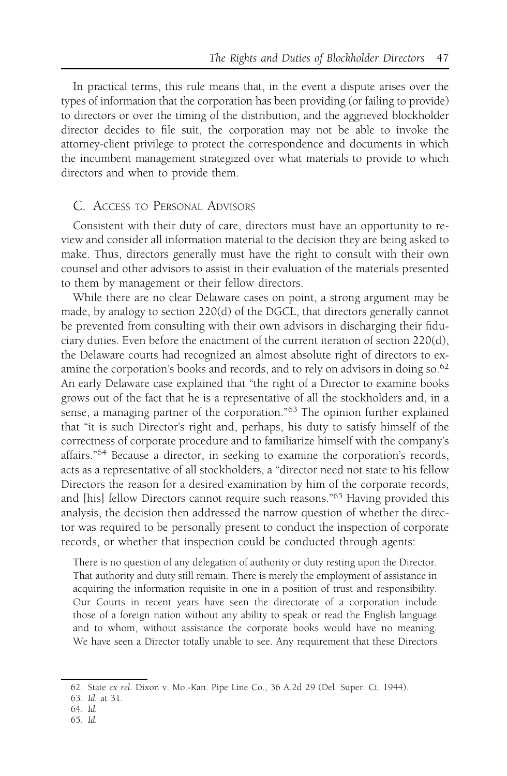In practical terms, this rule means that, in the event a dispute arises over the types of information that the corporation has been providing (or failing to provide) to directors or over the timing of the distribution, and the aggrieved blockholder director decides to file suit, the corporation may not be able to invoke the attorney-client privilege to protect the correspondence and documents in which the incumbent management strategized over what materials to provide to which directors and when to provide them.

#### C. ACCESS TO PERSONAL ADVISORS

Consistent with their duty of care, directors must have an opportunity to review and consider all information material to the decision they are being asked to make. Thus, directors generally must have the right to consult with their own counsel and other advisors to assist in their evaluation of the materials presented to them by management or their fellow directors.

While there are no clear Delaware cases on point, a strong argument may be made, by analogy to section 220(d) of the DGCL, that directors generally cannot be prevented from consulting with their own advisors in discharging their fiduciary duties. Even before the enactment of the current iteration of section 220(d), the Delaware courts had recognized an almost absolute right of directors to examine the corporation's books and records, and to rely on advisors in doing so.<sup>62</sup> An early Delaware case explained that "the right of a Director to examine books grows out of the fact that he is a representative of all the stockholders and, in a sense, a managing partner of the corporation."<sup>63</sup> The opinion further explained that "it is such Director's right and, perhaps, his duty to satisfy himself of the correctness of corporate procedure and to familiarize himself with the company's affairs."<sup>64</sup> Because a director, in seeking to examine the corporation's records, acts as a representative of all stockholders, a "director need not state to his fellow Directors the reason for a desired examination by him of the corporate records, and [his] fellow Directors cannot require such reasons."<sup>65</sup> Having provided this analysis, the decision then addressed the narrow question of whether the director was required to be personally present to conduct the inspection of corporate records, or whether that inspection could be conducted through agents:

There is no question of any delegation of authority or duty resting upon the Director. That authority and duty still remain. There is merely the employment of assistance in acquiring the information requisite in one in a position of trust and responsibility. Our Courts in recent years have seen the directorate of a corporation include those of a foreign nation without any ability to speak or read the English language and to whom, without assistance the corporate books would have no meaning. We have seen a Director totally unable to see. Any requirement that these Directors

<sup>62.</sup> State ex rel. Dixon v. Mo.-Kan. Pipe Line Co., 36 A.2d 29 (Del. Super. Ct. 1944).

<sup>63.</sup> Id. at 31.

<sup>64.</sup> Id.

<sup>65.</sup> Id.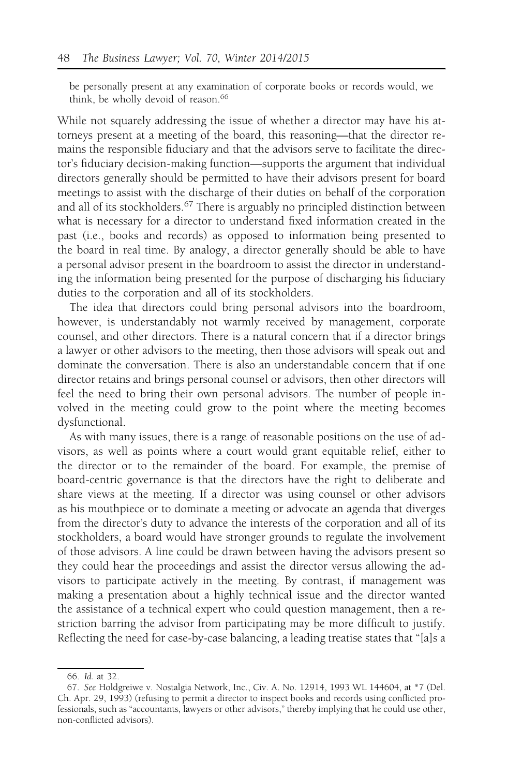be personally present at any examination of corporate books or records would, we think, be wholly devoid of reason.<sup>66</sup>

While not squarely addressing the issue of whether a director may have his attorneys present at a meeting of the board, this reasoning—that the director remains the responsible fiduciary and that the advisors serve to facilitate the director's fiduciary decision-making function—supports the argument that individual directors generally should be permitted to have their advisors present for board meetings to assist with the discharge of their duties on behalf of the corporation and all of its stockholders.<sup>67</sup> There is arguably no principled distinction between what is necessary for a director to understand fixed information created in the past (i.e., books and records) as opposed to information being presented to the board in real time. By analogy, a director generally should be able to have a personal advisor present in the boardroom to assist the director in understanding the information being presented for the purpose of discharging his fiduciary duties to the corporation and all of its stockholders.

The idea that directors could bring personal advisors into the boardroom, however, is understandably not warmly received by management, corporate counsel, and other directors. There is a natural concern that if a director brings a lawyer or other advisors to the meeting, then those advisors will speak out and dominate the conversation. There is also an understandable concern that if one director retains and brings personal counsel or advisors, then other directors will feel the need to bring their own personal advisors. The number of people involved in the meeting could grow to the point where the meeting becomes dysfunctional.

As with many issues, there is a range of reasonable positions on the use of advisors, as well as points where a court would grant equitable relief, either to the director or to the remainder of the board. For example, the premise of board-centric governance is that the directors have the right to deliberate and share views at the meeting. If a director was using counsel or other advisors as his mouthpiece or to dominate a meeting or advocate an agenda that diverges from the director's duty to advance the interests of the corporation and all of its stockholders, a board would have stronger grounds to regulate the involvement of those advisors. A line could be drawn between having the advisors present so they could hear the proceedings and assist the director versus allowing the advisors to participate actively in the meeting. By contrast, if management was making a presentation about a highly technical issue and the director wanted the assistance of a technical expert who could question management, then a restriction barring the advisor from participating may be more difficult to justify. Reflecting the need for case-by-case balancing, a leading treatise states that "[a]s a

<sup>66.</sup> Id. at 32.

<sup>67.</sup> See Holdgreiwe v. Nostalgia Network, Inc., Civ. A. No. 12914, 1993 WL 144604, at \*7 (Del. Ch. Apr. 29, 1993) (refusing to permit a director to inspect books and records using conflicted professionals, such as "accountants, lawyers or other advisors," thereby implying that he could use other, non-conflicted advisors).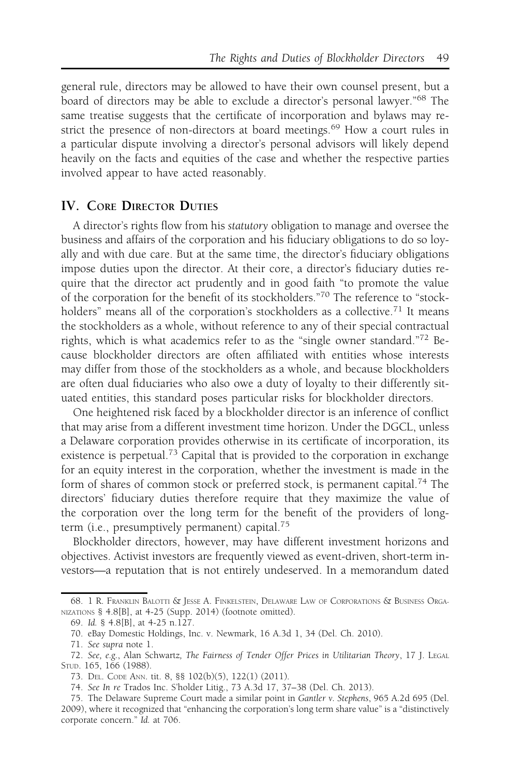general rule, directors may be allowed to have their own counsel present, but a board of directors may be able to exclude a director's personal lawyer."<sup>68</sup> The same treatise suggests that the certificate of incorporation and bylaws may restrict the presence of non-directors at board meetings.<sup>69</sup> How a court rules in a particular dispute involving a director's personal advisors will likely depend heavily on the facts and equities of the case and whether the respective parties involved appear to have acted reasonably.

## IV. CORE DIRECTOR DUTIES

A director's rights flow from his statutory obligation to manage and oversee the business and affairs of the corporation and his fiduciary obligations to do so loyally and with due care. But at the same time, the director's fiduciary obligations impose duties upon the director. At their core, a director's fiduciary duties require that the director act prudently and in good faith "to promote the value of the corporation for the benefit of its stockholders."<sup>70</sup> The reference to "stockholders" means all of the corporation's stockholders as a collective.<sup>71</sup> It means the stockholders as a whole, without reference to any of their special contractual rights, which is what academics refer to as the "single owner standard."<sup>72</sup> Because blockholder directors are often affiliated with entities whose interests may differ from those of the stockholders as a whole, and because blockholders are often dual fiduciaries who also owe a duty of loyalty to their differently situated entities, this standard poses particular risks for blockholder directors.

One heightened risk faced by a blockholder director is an inference of conflict that may arise from a different investment time horizon. Under the DGCL, unless a Delaware corporation provides otherwise in its certificate of incorporation, its existence is perpetual.<sup>73</sup> Capital that is provided to the corporation in exchange for an equity interest in the corporation, whether the investment is made in the form of shares of common stock or preferred stock, is permanent capital.<sup>74</sup> The directors' fiduciary duties therefore require that they maximize the value of the corporation over the long term for the benefit of the providers of longterm (i.e., presumptively permanent) capital.75

Blockholder directors, however, may have different investment horizons and objectives. Activist investors are frequently viewed as event-driven, short-term investors—a reputation that is not entirely undeserved. In a memorandum dated

<sup>68. 1</sup> R. FRANKLIN BALOTTI & JESSE A. FINKELSTEIN, DELAWARE LAW OF CORPORATIONS & BUSINESS ORGA-NIZATIONS § 4.8[B], at 4-25 (Supp. 2014) (footnote omitted).

<sup>69.</sup> Id. § 4.8[B], at 4-25 n.127.

<sup>70.</sup> eBay Domestic Holdings, Inc. v. Newmark, 16 A.3d 1, 34 (Del. Ch. 2010).

<sup>71.</sup> See supra note 1.

<sup>72.</sup> See, e.g., Alan Schwartz, The Fairness of Tender Offer Prices in Utilitarian Theory, 17 J. LEGAL STUD. 165, 166 (1988).

<sup>73.</sup> DEL. CODE ANN. tit. 8, §§ 102(b)(5), 122(1) (2011).

<sup>74.</sup> See In re Trados Inc. S'holder Litig., 73 A.3d 17, 37–38 (Del. Ch. 2013).

<sup>75.</sup> The Delaware Supreme Court made a similar point in Gantler v. Stephens, 965 A.2d 695 (Del. 2009), where it recognized that "enhancing the corporation's long term share value" is a "distinctively corporate concern." Id. at 706.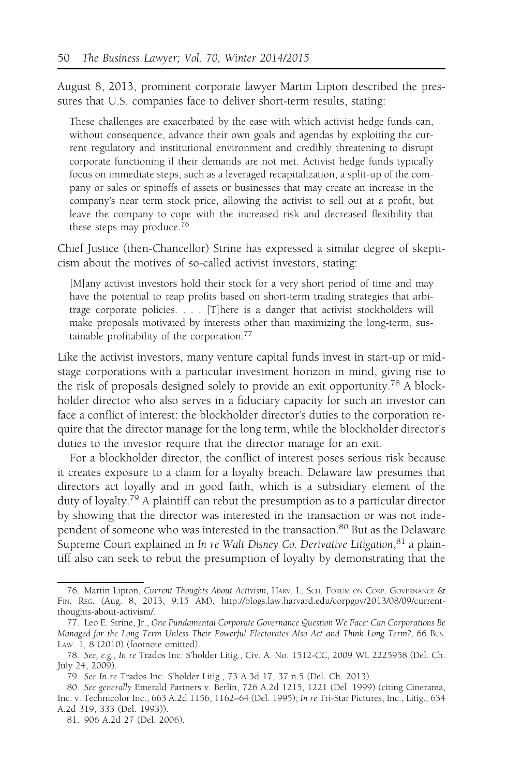August 8, 2013, prominent corporate lawyer Martin Lipton described the pressures that U.S. companies face to deliver short-term results, stating:

These challenges are exacerbated by the ease with which activist hedge funds can, without consequence, advance their own goals and agendas by exploiting the current regulatory and institutional environment and credibly threatening to disrupt corporate functioning if their demands are not met. Activist hedge funds typically focus on immediate steps, such as a leveraged recapitalization, a split-up of the company or sales or spinoffs of assets or businesses that may create an increase in the company's near term stock price, allowing the activist to sell out at a profit, but leave the company to cope with the increased risk and decreased flexibility that these steps may produce.76

Chief Justice (then-Chancellor) Strine has expressed a similar degree of skepticism about the motives of so-called activist investors, stating:

[M]any activist investors hold their stock for a very short period of time and may have the potential to reap profits based on short-term trading strategies that arbitrage corporate policies. . . . [T]here is a danger that activist stockholders will make proposals motivated by interests other than maximizing the long-term, sustainable profitability of the corporation.77

Like the activist investors, many venture capital funds invest in start-up or midstage corporations with a particular investment horizon in mind, giving rise to the risk of proposals designed solely to provide an exit opportunity.<sup>78</sup> A blockholder director who also serves in a fiduciary capacity for such an investor can face a conflict of interest: the blockholder director's duties to the corporation require that the director manage for the long term, while the blockholder director's duties to the investor require that the director manage for an exit.

For a blockholder director, the conflict of interest poses serious risk because it creates exposure to a claim for a loyalty breach. Delaware law presumes that directors act loyally and in good faith, which is a subsidiary element of the duty of loyalty.<sup>79</sup> A plaintiff can rebut the presumption as to a particular director by showing that the director was interested in the transaction or was not independent of someone who was interested in the transaction.<sup>80</sup> But as the Delaware Supreme Court explained in In re Walt Disney Co. Derivative Litigation, <sup>81</sup> a plaintiff also can seek to rebut the presumption of loyalty by demonstrating that the

<sup>76.</sup> Martin Lipton, Current Thoughts About Activism, HARV. L. SCH. FORUM ON CORP. GOVERNANCE & FIN. REG. (Aug. 8, 2013, 9:15 AM), http://blogs.law.harvard.edu/corpgov/2013/08/09/currentthoughts-about-activism/.

<sup>77.</sup> Leo E. Strine, Jr., One Fundamental Corporate Governance Question We Face: Can Corporations Be Managed for the Long Term Unless Their Powerful Electorates Also Act and Think Long Term?, 66 BUS. LAW. 1, 8 (2010) (footnote omitted).

<sup>78.</sup> See, e.g., In re Trados Inc. S'holder Litig., Civ. A. No. 1512-CC, 2009 WL 2225958 (Del. Ch. July 24, 2009).

<sup>79.</sup> See In re Trados Inc. S'holder Litig., 73 A.3d 17, 37 n.5 (Del. Ch. 2013).

<sup>80.</sup> See generally Emerald Partners v. Berlin, 726 A.2d 1215, 1221 (Del. 1999) (citing Cinerama, Inc. v. Technicolor Inc., 663 A.2d 1156, 1162–64 (Del. 1995); In re Tri-Star Pictures, Inc., Litig., 634 A.2d 319, 333 (Del. 1993)).

<sup>81. 906</sup> A.2d 27 (Del. 2006).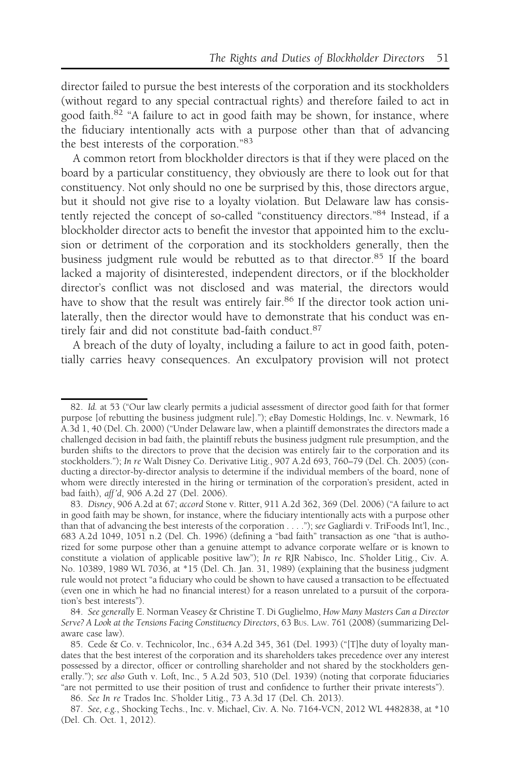director failed to pursue the best interests of the corporation and its stockholders (without regard to any special contractual rights) and therefore failed to act in good faith.<sup>82</sup> "A failure to act in good faith may be shown, for instance, where the fiduciary intentionally acts with a purpose other than that of advancing the best interests of the corporation."<sup>83</sup>

A common retort from blockholder directors is that if they were placed on the board by a particular constituency, they obviously are there to look out for that constituency. Not only should no one be surprised by this, those directors argue, but it should not give rise to a loyalty violation. But Delaware law has consistently rejected the concept of so-called "constituency directors."84 Instead, if a blockholder director acts to benefit the investor that appointed him to the exclusion or detriment of the corporation and its stockholders generally, then the business judgment rule would be rebutted as to that director.<sup>85</sup> If the board lacked a majority of disinterested, independent directors, or if the blockholder director's conflict was not disclosed and was material, the directors would have to show that the result was entirely fair.<sup>86</sup> If the director took action unilaterally, then the director would have to demonstrate that his conduct was entirely fair and did not constitute bad-faith conduct.<sup>87</sup>

A breach of the duty of loyalty, including a failure to act in good faith, potentially carries heavy consequences. An exculpatory provision will not protect

<sup>82.</sup> Id. at 53 ("Our law clearly permits a judicial assessment of director good faith for that former purpose [of rebutting the business judgment rule]."); eBay Domestic Holdings, Inc. v. Newmark, 16 A.3d 1, 40 (Del. Ch. 2000) ("Under Delaware law, when a plaintiff demonstrates the directors made a challenged decision in bad faith, the plaintiff rebuts the business judgment rule presumption, and the burden shifts to the directors to prove that the decision was entirely fair to the corporation and its stockholders."); In re Walt Disney Co. Derivative Litig., 907 A.2d 693, 760–79 (Del. Ch. 2005) (conducting a director-by-director analysis to determine if the individual members of the board, none of whom were directly interested in the hiring or termination of the corporation's president, acted in bad faith), aff 'd, 906 A.2d 27 (Del. 2006).

<sup>83.</sup> Disney, 906 A.2d at 67; accord Stone v. Ritter, 911 A.2d 362, 369 (Del. 2006) ("A failure to act in good faith may be shown, for instance, where the fiduciary intentionally acts with a purpose other than that of advancing the best interests of the corporation . . . ."); see Gagliardi v. TriFoods Int'l, Inc., 683 A.2d 1049, 1051 n.2 (Del. Ch. 1996) (defining a "bad faith" transaction as one "that is authorized for some purpose other than a genuine attempt to advance corporate welfare or is known to constitute a violation of applicable positive law"); In re RJR Nabisco, Inc. S'holder Litig., Civ. A. No. 10389, 1989 WL 7036, at \*15 (Del. Ch. Jan. 31, 1989) (explaining that the business judgment rule would not protect "a fiduciary who could be shown to have caused a transaction to be effectuated (even one in which he had no financial interest) for a reason unrelated to a pursuit of the corporation's best interests").

<sup>84.</sup> See generally E. Norman Veasey & Christine T. Di Guglielmo, How Many Masters Can a Director Serve? A Look at the Tensions Facing Constituency Directors, 63 BUS. LAW. 761 (2008) (summarizing Delaware case law).

<sup>85.</sup> Cede & Co. v. Technicolor, Inc., 634 A.2d 345, 361 (Del. 1993) ("[T]he duty of loyalty mandates that the best interest of the corporation and its shareholders takes precedence over any interest possessed by a director, officer or controlling shareholder and not shared by the stockholders generally."); see also Guth v. Loft, Inc., 5 A.2d 503, 510 (Del. 1939) (noting that corporate fiduciaries "are not permitted to use their position of trust and confidence to further their private interests").

<sup>86.</sup> See In re Trados Inc. S'holder Litig., 73 A.3d 17 (Del. Ch. 2013).

<sup>87.</sup> See, e.g., Shocking Techs., Inc. v. Michael, Civ. A. No. 7164-VCN, 2012 WL 4482838, at \*10 (Del. Ch. Oct. 1, 2012).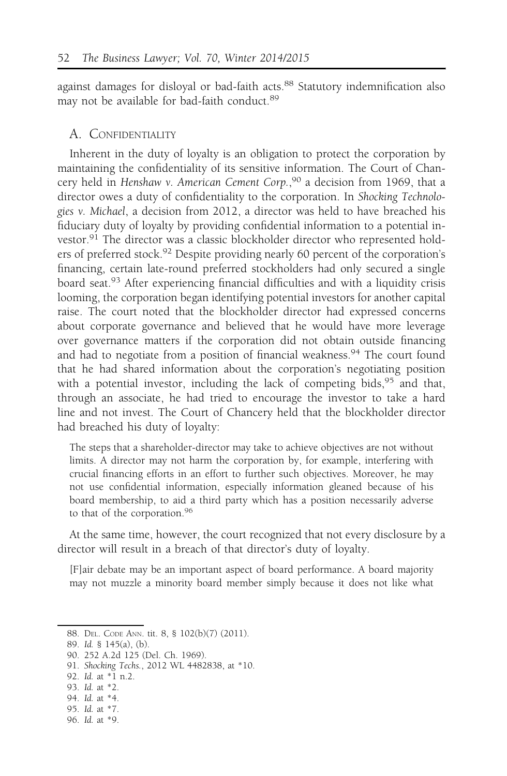against damages for disloyal or bad-faith acts.<sup>88</sup> Statutory indemnification also may not be available for bad-faith conduct.<sup>89</sup>

#### A. CONFIDENTIALITY

Inherent in the duty of loyalty is an obligation to protect the corporation by maintaining the confidentiality of its sensitive information. The Court of Chancery held in Henshaw v. American Cement Corp., <sup>90</sup> a decision from 1969, that a director owes a duty of confidentiality to the corporation. In Shocking Technologies v. Michael, a decision from 2012, a director was held to have breached his fiduciary duty of loyalty by providing confidential information to a potential investor.<sup>91</sup> The director was a classic blockholder director who represented holders of preferred stock.<sup>92</sup> Despite providing nearly 60 percent of the corporation's financing, certain late-round preferred stockholders had only secured a single board seat.<sup>93</sup> After experiencing financial difficulties and with a liquidity crisis looming, the corporation began identifying potential investors for another capital raise. The court noted that the blockholder director had expressed concerns about corporate governance and believed that he would have more leverage over governance matters if the corporation did not obtain outside financing and had to negotiate from a position of financial weakness.<sup>94</sup> The court found that he had shared information about the corporation's negotiating position with a potential investor, including the lack of competing bids,  $95$  and that, through an associate, he had tried to encourage the investor to take a hard line and not invest. The Court of Chancery held that the blockholder director had breached his duty of loyalty:

The steps that a shareholder-director may take to achieve objectives are not without limits. A director may not harm the corporation by, for example, interfering with crucial financing efforts in an effort to further such objectives. Moreover, he may not use confidential information, especially information gleaned because of his board membership, to aid a third party which has a position necessarily adverse to that of the corporation.<sup>96</sup>

At the same time, however, the court recognized that not every disclosure by a director will result in a breach of that director's duty of loyalty.

[F]air debate may be an important aspect of board performance. A board majority may not muzzle a minority board member simply because it does not like what

- 93. Id. at \*2.
- 94. Id. at \*4.
- 95. Id. at \*7.
- 96. Id. at \*9.

<sup>88.</sup> DEL. CODE ANN. tit. 8, § 102(b)(7) (2011).

<sup>89.</sup> Id. § 145(a), (b).

<sup>90. 252</sup> A.2d 125 (Del. Ch. 1969).

<sup>91.</sup> Shocking Techs., 2012 WL 4482838, at \*10.

<sup>92.</sup> Id. at \*1 n.2.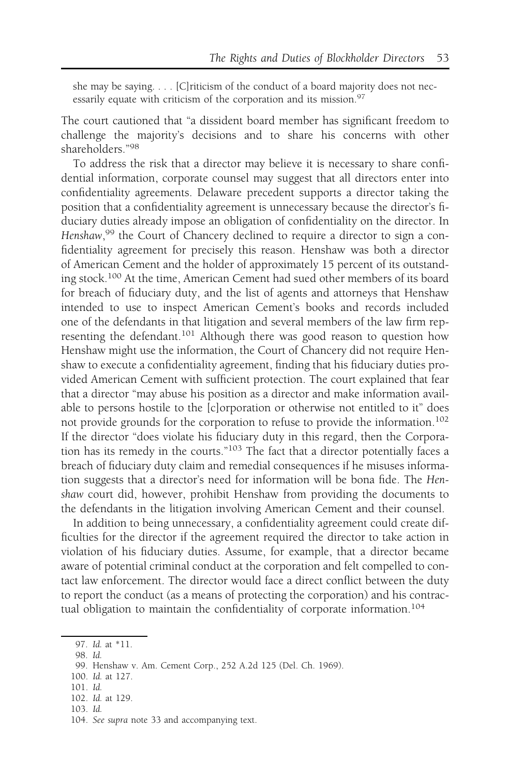she may be saying. . . . [C]riticism of the conduct of a board majority does not necessarily equate with criticism of the corporation and its mission.<sup>97</sup>

The court cautioned that "a dissident board member has significant freedom to challenge the majority's decisions and to share his concerns with other shareholders."<sup>98</sup>

To address the risk that a director may believe it is necessary to share confidential information, corporate counsel may suggest that all directors enter into confidentiality agreements. Delaware precedent supports a director taking the position that a confidentiality agreement is unnecessary because the director's fiduciary duties already impose an obligation of confidentiality on the director. In Henshaw,<sup>99</sup> the Court of Chancery declined to require a director to sign a confidentiality agreement for precisely this reason. Henshaw was both a director of American Cement and the holder of approximately 15 percent of its outstanding stock.<sup>100</sup> At the time, American Cement had sued other members of its board for breach of fiduciary duty, and the list of agents and attorneys that Henshaw intended to use to inspect American Cement's books and records included one of the defendants in that litigation and several members of the law firm representing the defendant.<sup>101</sup> Although there was good reason to question how Henshaw might use the information, the Court of Chancery did not require Henshaw to execute a confidentiality agreement, finding that his fiduciary duties provided American Cement with sufficient protection. The court explained that fear that a director "may abuse his position as a director and make information available to persons hostile to the [c]orporation or otherwise not entitled to it" does not provide grounds for the corporation to refuse to provide the information.<sup>102</sup> If the director "does violate his fiduciary duty in this regard, then the Corporation has its remedy in the courts."<sup>103</sup> The fact that a director potentially faces a breach of fiduciary duty claim and remedial consequences if he misuses information suggests that a director's need for information will be bona fide. The Henshaw court did, however, prohibit Henshaw from providing the documents to the defendants in the litigation involving American Cement and their counsel.

In addition to being unnecessary, a confidentiality agreement could create difficulties for the director if the agreement required the director to take action in violation of his fiduciary duties. Assume, for example, that a director became aware of potential criminal conduct at the corporation and felt compelled to contact law enforcement. The director would face a direct conflict between the duty to report the conduct (as a means of protecting the corporation) and his contractual obligation to maintain the confidentiality of corporate information.<sup>104</sup>

- 100. Id. at 127.
- 101. Id.
- 102. Id. at 129.
- 103. Id.

<sup>97.</sup> Id. at \*11.

<sup>98.</sup> Id.

<sup>99.</sup> Henshaw v. Am. Cement Corp., 252 A.2d 125 (Del. Ch. 1969).

<sup>104.</sup> See supra note 33 and accompanying text.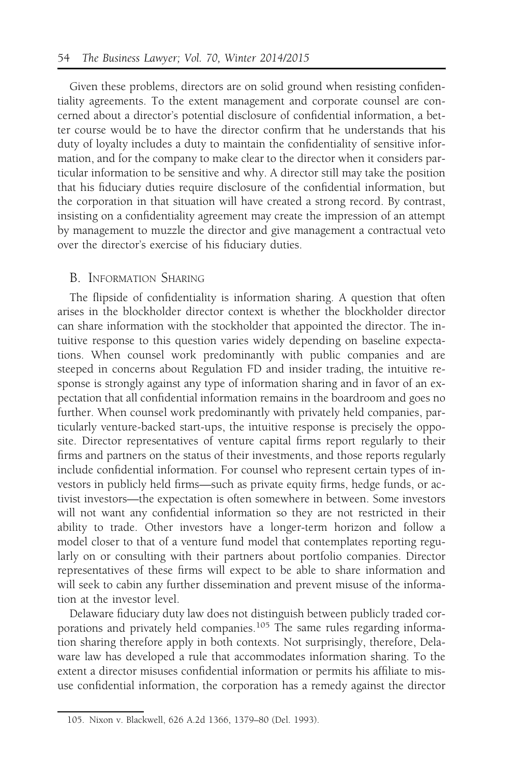Given these problems, directors are on solid ground when resisting confidentiality agreements. To the extent management and corporate counsel are concerned about a director's potential disclosure of confidential information, a better course would be to have the director confirm that he understands that his duty of loyalty includes a duty to maintain the confidentiality of sensitive information, and for the company to make clear to the director when it considers particular information to be sensitive and why. A director still may take the position that his fiduciary duties require disclosure of the confidential information, but the corporation in that situation will have created a strong record. By contrast, insisting on a confidentiality agreement may create the impression of an attempt by management to muzzle the director and give management a contractual veto over the director's exercise of his fiduciary duties.

## B. INFORMATION SHARING

The flipside of confidentiality is information sharing. A question that often arises in the blockholder director context is whether the blockholder director can share information with the stockholder that appointed the director. The intuitive response to this question varies widely depending on baseline expectations. When counsel work predominantly with public companies and are steeped in concerns about Regulation FD and insider trading, the intuitive response is strongly against any type of information sharing and in favor of an expectation that all confidential information remains in the boardroom and goes no further. When counsel work predominantly with privately held companies, particularly venture-backed start-ups, the intuitive response is precisely the opposite. Director representatives of venture capital firms report regularly to their firms and partners on the status of their investments, and those reports regularly include confidential information. For counsel who represent certain types of investors in publicly held firms—such as private equity firms, hedge funds, or activist investors—the expectation is often somewhere in between. Some investors will not want any confidential information so they are not restricted in their ability to trade. Other investors have a longer-term horizon and follow a model closer to that of a venture fund model that contemplates reporting regularly on or consulting with their partners about portfolio companies. Director representatives of these firms will expect to be able to share information and will seek to cabin any further dissemination and prevent misuse of the information at the investor level.

Delaware fiduciary duty law does not distinguish between publicly traded corporations and privately held companies.<sup>105</sup> The same rules regarding information sharing therefore apply in both contexts. Not surprisingly, therefore, Delaware law has developed a rule that accommodates information sharing. To the extent a director misuses confidential information or permits his affiliate to misuse confidential information, the corporation has a remedy against the director

<sup>105.</sup> Nixon v. Blackwell, 626 A.2d 1366, 1379–80 (Del. 1993).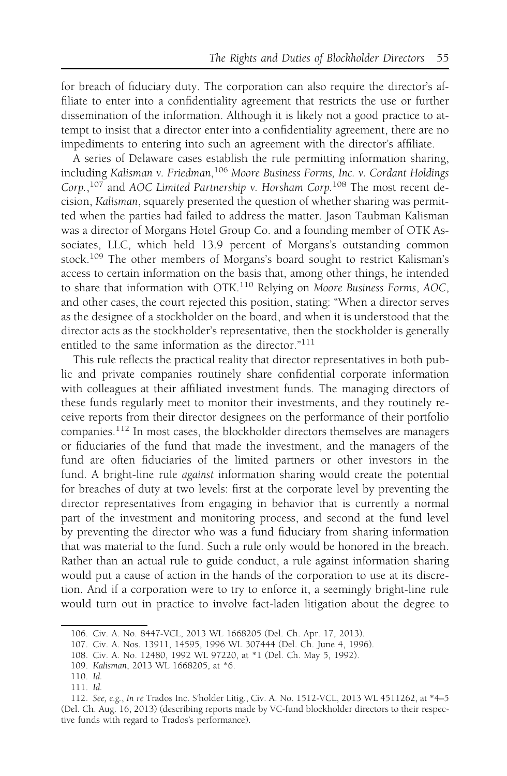for breach of fiduciary duty. The corporation can also require the director's affiliate to enter into a confidentiality agreement that restricts the use or further dissemination of the information. Although it is likely not a good practice to attempt to insist that a director enter into a confidentiality agreement, there are no impediments to entering into such an agreement with the director's affiliate.

A series of Delaware cases establish the rule permitting information sharing, including Kalisman v. Friedman,<sup>106</sup> Moore Business Forms, Inc. v. Cordant Holdings Corp.,<sup>107</sup> and AOC Limited Partnership v. Horsham Corp.<sup>108</sup> The most recent decision, Kalisman, squarely presented the question of whether sharing was permitted when the parties had failed to address the matter. Jason Taubman Kalisman was a director of Morgans Hotel Group Co. and a founding member of OTK Associates, LLC, which held 13.9 percent of Morgans's outstanding common stock.<sup>109</sup> The other members of Morgans's board sought to restrict Kalisman's access to certain information on the basis that, among other things, he intended to share that information with OTK.<sup>110</sup> Relying on Moore Business Forms, AOC, and other cases, the court rejected this position, stating: "When a director serves as the designee of a stockholder on the board, and when it is understood that the director acts as the stockholder's representative, then the stockholder is generally entitled to the same information as the director."<sup>111</sup>

This rule reflects the practical reality that director representatives in both public and private companies routinely share confidential corporate information with colleagues at their affiliated investment funds. The managing directors of these funds regularly meet to monitor their investments, and they routinely receive reports from their director designees on the performance of their portfolio companies.<sup>112</sup> In most cases, the blockholder directors themselves are managers or fiduciaries of the fund that made the investment, and the managers of the fund are often fiduciaries of the limited partners or other investors in the fund. A bright-line rule against information sharing would create the potential for breaches of duty at two levels: first at the corporate level by preventing the director representatives from engaging in behavior that is currently a normal part of the investment and monitoring process, and second at the fund level by preventing the director who was a fund fiduciary from sharing information that was material to the fund. Such a rule only would be honored in the breach. Rather than an actual rule to guide conduct, a rule against information sharing would put a cause of action in the hands of the corporation to use at its discretion. And if a corporation were to try to enforce it, a seemingly bright-line rule would turn out in practice to involve fact-laden litigation about the degree to

<sup>106.</sup> Civ. A. No. 8447-VCL, 2013 WL 1668205 (Del. Ch. Apr. 17, 2013).

<sup>107.</sup> Civ. A. Nos. 13911, 14595, 1996 WL 307444 (Del. Ch. June 4, 1996).

<sup>108.</sup> Civ. A. No. 12480, 1992 WL 97220, at \*1 (Del. Ch. May 5, 1992).

<sup>109.</sup> Kalisman, 2013 WL 1668205, at \*6.

<sup>110.</sup> Id.

<sup>111.</sup> Id.

<sup>112.</sup> See, e.g., In re Trados Inc. S'holder Litig., Civ. A. No. 1512-VCL, 2013 WL 4511262, at \*4–5 (Del. Ch. Aug. 16, 2013) (describing reports made by VC-fund blockholder directors to their respective funds with regard to Trados's performance).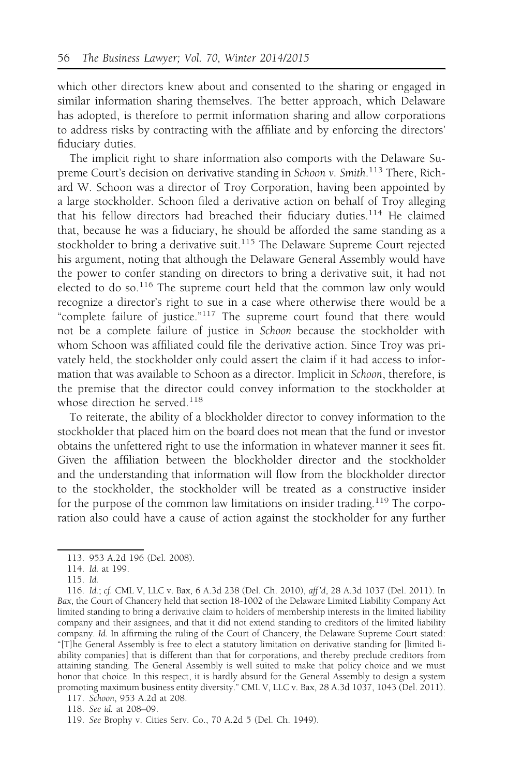which other directors knew about and consented to the sharing or engaged in similar information sharing themselves. The better approach, which Delaware has adopted, is therefore to permit information sharing and allow corporations to address risks by contracting with the affiliate and by enforcing the directors' fiduciary duties.

The implicit right to share information also comports with the Delaware Supreme Court's decision on derivative standing in Schoon v. Smith.<sup>113</sup> There, Richard W. Schoon was a director of Troy Corporation, having been appointed by a large stockholder. Schoon filed a derivative action on behalf of Troy alleging that his fellow directors had breached their fiduciary duties.<sup>114</sup> He claimed that, because he was a fiduciary, he should be afforded the same standing as a stockholder to bring a derivative suit.<sup>115</sup> The Delaware Supreme Court rejected his argument, noting that although the Delaware General Assembly would have the power to confer standing on directors to bring a derivative suit, it had not elected to do so.<sup>116</sup> The supreme court held that the common law only would recognize a director's right to sue in a case where otherwise there would be a "complete failure of justice."<sup>117</sup> The supreme court found that there would not be a complete failure of justice in Schoon because the stockholder with whom Schoon was affiliated could file the derivative action. Since Troy was privately held, the stockholder only could assert the claim if it had access to information that was available to Schoon as a director. Implicit in Schoon, therefore, is the premise that the director could convey information to the stockholder at whose direction he served.<sup>118</sup>

To reiterate, the ability of a blockholder director to convey information to the stockholder that placed him on the board does not mean that the fund or investor obtains the unfettered right to use the information in whatever manner it sees fit. Given the affiliation between the blockholder director and the stockholder and the understanding that information will flow from the blockholder director to the stockholder, the stockholder will be treated as a constructive insider for the purpose of the common law limitations on insider trading.<sup>119</sup> The corporation also could have a cause of action against the stockholder for any further

<sup>113. 953</sup> A.2d 196 (Del. 2008).

<sup>114.</sup> Id. at 199.

<sup>115.</sup> Id.

<sup>116.</sup> Id.; cf. CML V, LLC v. Bax, 6 A.3d 238 (Del. Ch. 2010), aff 'd, 28 A.3d 1037 (Del. 2011). In Bax, the Court of Chancery held that section 18-1002 of the Delaware Limited Liability Company Act limited standing to bring a derivative claim to holders of membership interests in the limited liability company and their assignees, and that it did not extend standing to creditors of the limited liability company. Id. In affirming the ruling of the Court of Chancery, the Delaware Supreme Court stated: "[T]he General Assembly is free to elect a statutory limitation on derivative standing for [limited liability companies] that is different than that for corporations, and thereby preclude creditors from attaining standing. The General Assembly is well suited to make that policy choice and we must honor that choice. In this respect, it is hardly absurd for the General Assembly to design a system promoting maximum business entity diversity." CML V, LLC v. Bax, 28 A.3d 1037, 1043 (Del. 2011).

<sup>117.</sup> Schoon, 953 A.2d at 208.

<sup>118.</sup> See id. at 208–09.

<sup>119.</sup> See Brophy v. Cities Serv. Co., 70 A.2d 5 (Del. Ch. 1949).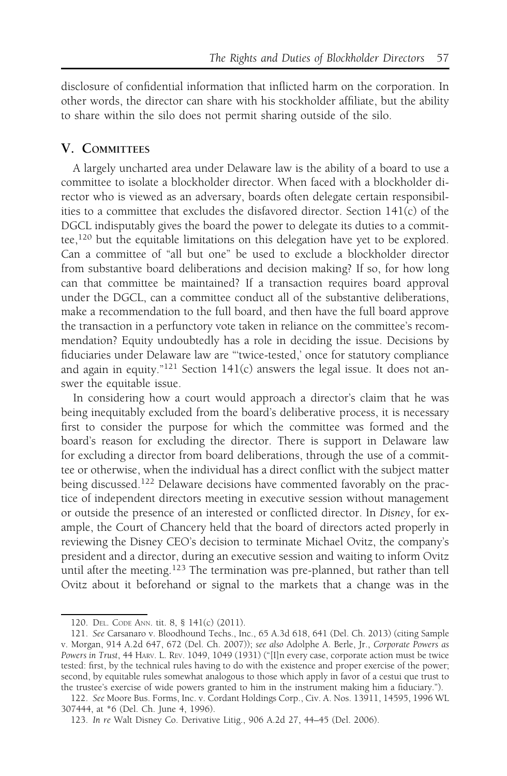disclosure of confidential information that inflicted harm on the corporation. In other words, the director can share with his stockholder affiliate, but the ability to share within the silo does not permit sharing outside of the silo.

# V. COMMITTEES

A largely uncharted area under Delaware law is the ability of a board to use a committee to isolate a blockholder director. When faced with a blockholder director who is viewed as an adversary, boards often delegate certain responsibilities to a committee that excludes the disfavored director. Section 141(c) of the DGCL indisputably gives the board the power to delegate its duties to a committee,<sup>120</sup> but the equitable limitations on this delegation have yet to be explored. Can a committee of "all but one" be used to exclude a blockholder director from substantive board deliberations and decision making? If so, for how long can that committee be maintained? If a transaction requires board approval under the DGCL, can a committee conduct all of the substantive deliberations, make a recommendation to the full board, and then have the full board approve the transaction in a perfunctory vote taken in reliance on the committee's recommendation? Equity undoubtedly has a role in deciding the issue. Decisions by fiduciaries under Delaware law are "'twice-tested,' once for statutory compliance and again in equity." $121$  Section 141(c) answers the legal issue. It does not answer the equitable issue.

In considering how a court would approach a director's claim that he was being inequitably excluded from the board's deliberative process, it is necessary first to consider the purpose for which the committee was formed and the board's reason for excluding the director. There is support in Delaware law for excluding a director from board deliberations, through the use of a committee or otherwise, when the individual has a direct conflict with the subject matter being discussed.<sup>122</sup> Delaware decisions have commented favorably on the practice of independent directors meeting in executive session without management or outside the presence of an interested or conflicted director. In Disney, for example, the Court of Chancery held that the board of directors acted properly in reviewing the Disney CEO's decision to terminate Michael Ovitz, the company's president and a director, during an executive session and waiting to inform Ovitz until after the meeting.<sup>123</sup> The termination was pre-planned, but rather than tell Ovitz about it beforehand or signal to the markets that a change was in the

<sup>120.</sup> DEL. CODE ANN. tit. 8, § 141(c) (2011).

<sup>121.</sup> See Carsanaro v. Bloodhound Techs., Inc., 65 A.3d 618, 641 (Del. Ch. 2013) (citing Sample v. Morgan, 914 A.2d 647, 672 (Del. Ch. 2007)); see also Adolphe A. Berle, Jr., Corporate Powers as Powers in Trust, 44 HARV. L. REV. 1049, 1049 (1931) ("[I]n every case, corporate action must be twice tested: first, by the technical rules having to do with the existence and proper exercise of the power; second, by equitable rules somewhat analogous to those which apply in favor of a cestui que trust to the trustee's exercise of wide powers granted to him in the instrument making him a fiduciary.").

<sup>122.</sup> See Moore Bus. Forms, Inc. v. Cordant Holdings Corp., Civ. A. Nos. 13911, 14595, 1996 WL 307444, at \*6 (Del. Ch. June 4, 1996).

<sup>123.</sup> In re Walt Disney Co. Derivative Litig., 906 A.2d 27, 44–45 (Del. 2006).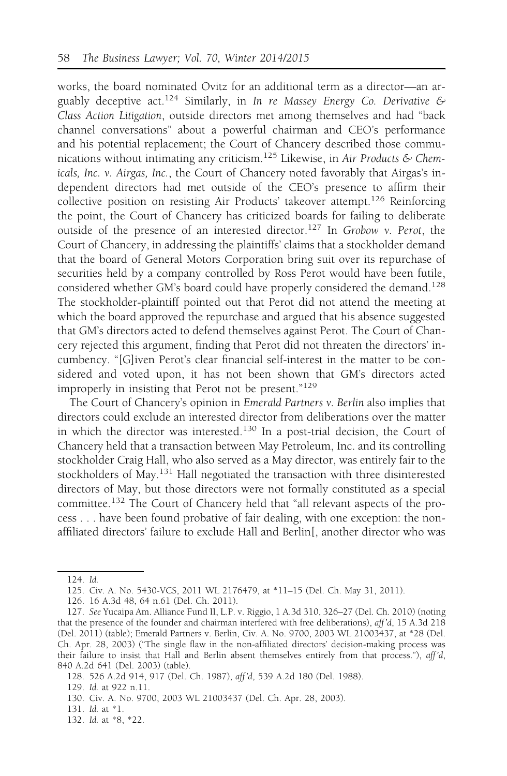works, the board nominated Ovitz for an additional term as a director—an arguably deceptive act.<sup>124</sup> Similarly, in In re Massey Energy Co. Derivative & Class Action Litigation, outside directors met among themselves and had "back channel conversations" about a powerful chairman and CEO's performance and his potential replacement; the Court of Chancery described those communications without intimating any criticism.<sup>125</sup> Likewise, in Air Products & Chemicals, Inc. v. Airgas, Inc., the Court of Chancery noted favorably that Airgas's independent directors had met outside of the CEO's presence to affirm their collective position on resisting Air Products' takeover attempt.126 Reinforcing the point, the Court of Chancery has criticized boards for failing to deliberate outside of the presence of an interested director.<sup>127</sup> In Grobow v. Perot, the Court of Chancery, in addressing the plaintiffs' claims that a stockholder demand that the board of General Motors Corporation bring suit over its repurchase of securities held by a company controlled by Ross Perot would have been futile, considered whether GM's board could have properly considered the demand.<sup>128</sup> The stockholder-plaintiff pointed out that Perot did not attend the meeting at which the board approved the repurchase and argued that his absence suggested that GM's directors acted to defend themselves against Perot. The Court of Chancery rejected this argument, finding that Perot did not threaten the directors' incumbency. "[G]iven Perot's clear financial self-interest in the matter to be considered and voted upon, it has not been shown that GM's directors acted improperly in insisting that Perot not be present."<sup>129</sup>

The Court of Chancery's opinion in Emerald Partners v. Berlin also implies that directors could exclude an interested director from deliberations over the matter in which the director was interested.130 In a post-trial decision, the Court of Chancery held that a transaction between May Petroleum, Inc. and its controlling stockholder Craig Hall, who also served as a May director, was entirely fair to the stockholders of May.<sup>131</sup> Hall negotiated the transaction with three disinterested directors of May, but those directors were not formally constituted as a special committee.<sup>132</sup> The Court of Chancery held that "all relevant aspects of the process . . . have been found probative of fair dealing, with one exception: the nonaffiliated directors' failure to exclude Hall and Berlin[, another director who was

<sup>124.</sup> Id.

<sup>125.</sup> Civ. A. No. 5430-VCS, 2011 WL 2176479, at \*11–15 (Del. Ch. May 31, 2011).

<sup>126. 16</sup> A.3d 48, 64 n.61 (Del. Ch. 2011).

<sup>127.</sup> See Yucaipa Am. Alliance Fund II, L.P. v. Riggio, 1 A.3d 310, 326–27 (Del. Ch. 2010) (noting that the presence of the founder and chairman interfered with free deliberations), aff 'd, 15 A.3d 218 (Del. 2011) (table); Emerald Partners v. Berlin, Civ. A. No. 9700, 2003 WL 21003437, at \*28 (Del. Ch. Apr. 28, 2003) ("The single flaw in the non-affiliated directors' decision-making process was their failure to insist that Hall and Berlin absent themselves entirely from that process."), aff'd, 840 A.2d 641 (Del. 2003) (table).

<sup>128. 526</sup> A.2d 914, 917 (Del. Ch. 1987), aff 'd, 539 A.2d 180 (Del. 1988).

<sup>129.</sup> Id. at 922 n.11.

<sup>130.</sup> Civ. A. No. 9700, 2003 WL 21003437 (Del. Ch. Apr. 28, 2003).

<sup>131.</sup> Id. at \*1.

<sup>132.</sup> Id. at \*8, \*22.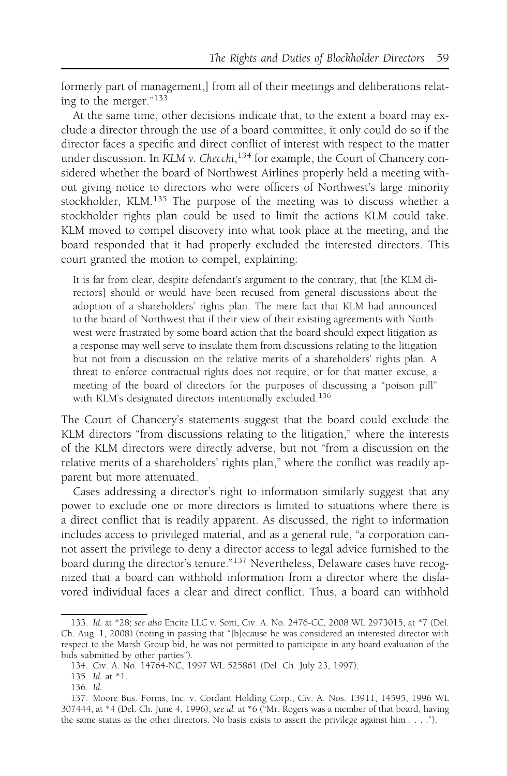formerly part of management,] from all of their meetings and deliberations relating to the merger."<sup>133</sup>

At the same time, other decisions indicate that, to the extent a board may exclude a director through the use of a board committee, it only could do so if the director faces a specific and direct conflict of interest with respect to the matter under discussion. In KLM v. Checchi,<sup>134</sup> for example, the Court of Chancery considered whether the board of Northwest Airlines properly held a meeting without giving notice to directors who were officers of Northwest's large minority stockholder, KLM.135 The purpose of the meeting was to discuss whether a stockholder rights plan could be used to limit the actions KLM could take. KLM moved to compel discovery into what took place at the meeting, and the board responded that it had properly excluded the interested directors. This court granted the motion to compel, explaining:

It is far from clear, despite defendant's argument to the contrary, that [the KLM directors] should or would have been recused from general discussions about the adoption of a shareholders' rights plan. The mere fact that KLM had announced to the board of Northwest that if their view of their existing agreements with Northwest were frustrated by some board action that the board should expect litigation as a response may well serve to insulate them from discussions relating to the litigation but not from a discussion on the relative merits of a shareholders' rights plan. A threat to enforce contractual rights does not require, or for that matter excuse, a meeting of the board of directors for the purposes of discussing a "poison pill" with KLM's designated directors intentionally excluded.136

The Court of Chancery's statements suggest that the board could exclude the KLM directors "from discussions relating to the litigation," where the interests of the KLM directors were directly adverse, but not "from a discussion on the relative merits of a shareholders' rights plan," where the conflict was readily apparent but more attenuated.

Cases addressing a director's right to information similarly suggest that any power to exclude one or more directors is limited to situations where there is a direct conflict that is readily apparent. As discussed, the right to information includes access to privileged material, and as a general rule, "a corporation cannot assert the privilege to deny a director access to legal advice furnished to the board during the director's tenure."<sup>137</sup> Nevertheless, Delaware cases have recognized that a board can withhold information from a director where the disfavored individual faces a clear and direct conflict. Thus, a board can withhold

<sup>133.</sup> Id. at \*28; see also Encite LLC v. Soni, Civ. A. No. 2476-CC, 2008 WL 2973015, at \*7 (Del. Ch. Aug. 1, 2008) (noting in passing that "[b]ecause he was considered an interested director with respect to the Marsh Group bid, he was not permitted to participate in any board evaluation of the bids submitted by other parties").

<sup>134.</sup> Civ. A. No. 14764-NC, 1997 WL 525861 (Del. Ch. July 23, 1997).

<sup>135.</sup> Id. at \*1.

<sup>136.</sup> Id.

<sup>137.</sup> Moore Bus. Forms, Inc. v. Cordant Holding Corp., Civ. A. Nos. 13911, 14595, 1996 WL 307444, at \*4 (Del. Ch. June 4, 1996); see id. at \*6 ("Mr. Rogers was a member of that board, having the same status as the other directors. No basis exists to assert the privilege against him . . . .").